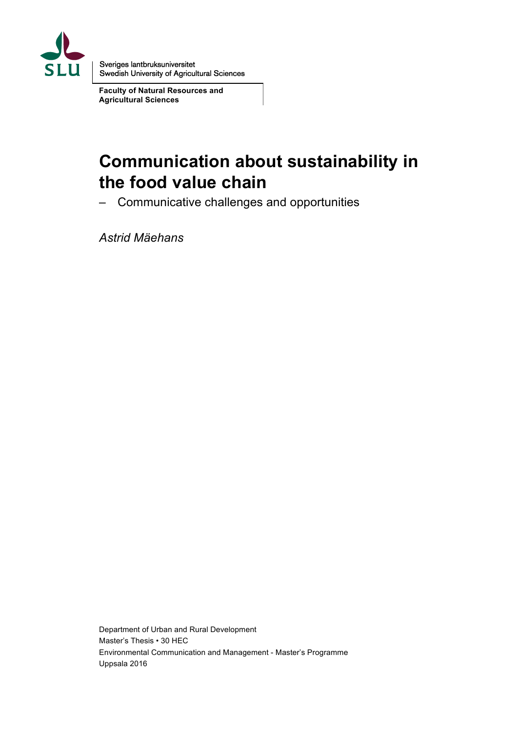

Sveriges lantbruksuniversitet Swedish University of Agricultural Sciences

**Faculty of Natural Resources and Agricultural Sciences**

# **Communication about sustainability in the food value chain**

– Communicative challenges and opportunities

*Astrid Mäehans*

Department of Urban and Rural Development Master's Thesis • 30 HEC Environmental Communication and Management - Master's Programme Uppsala 2016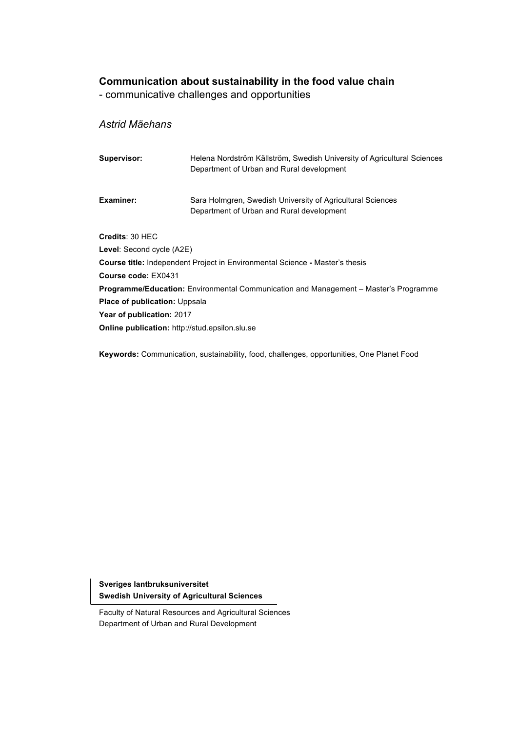## **Communication about sustainability in the food value chain**

- communicative challenges and opportunities

## *Astrid Mäehans*

| Supervisor:                                                                          | Helena Nordström Källström, Swedish University of Agricultural Sciences<br>Department of Urban and Rural development |  |  |  |  |
|--------------------------------------------------------------------------------------|----------------------------------------------------------------------------------------------------------------------|--|--|--|--|
| <b>Examiner:</b>                                                                     | Sara Holmgren, Swedish University of Agricultural Sciences<br>Department of Urban and Rural development              |  |  |  |  |
| Credits: 30 HEC                                                                      |                                                                                                                      |  |  |  |  |
| <b>Level:</b> Second cycle (A2E)                                                     |                                                                                                                      |  |  |  |  |
| <b>Course title:</b> Independent Project in Environmental Science - Master's thesis  |                                                                                                                      |  |  |  |  |
| Course code: EX0431                                                                  |                                                                                                                      |  |  |  |  |
| Programme/Education: Environmental Communication and Management - Master's Programme |                                                                                                                      |  |  |  |  |
| <b>Place of publication: Uppsala</b>                                                 |                                                                                                                      |  |  |  |  |
| <b>Year of publication: 2017</b>                                                     |                                                                                                                      |  |  |  |  |
| <b>Online publication:</b> http://stud.epsilon.slu.se                                |                                                                                                                      |  |  |  |  |

**Keywords:** Communication, sustainability, food, challenges, opportunities, One Planet Food

**Sveriges lantbruksuniversitet Swedish University of Agricultural Sciences**

Faculty of Natural Resources and Agricultural Sciences Department of Urban and Rural Development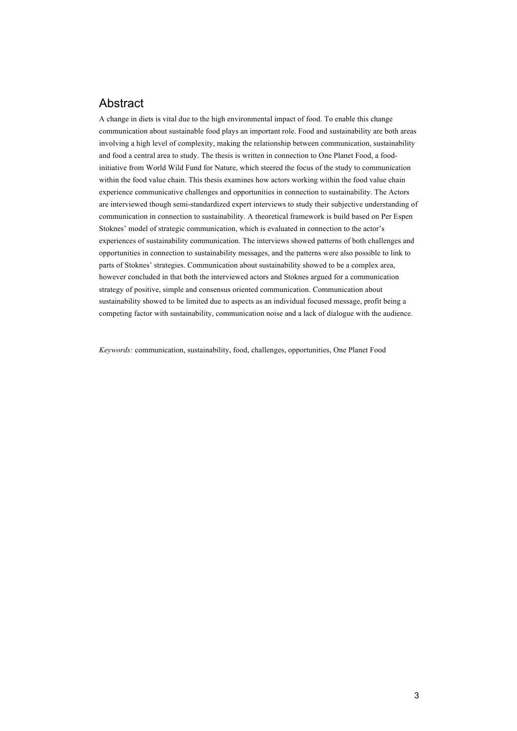## Abstract

A change in diets is vital due to the high environmental impact of food. To enable this change communication about sustainable food plays an important role. Food and sustainability are both areas involving a high level of complexity, making the relationship between communication, sustainability and food a central area to study. The thesis is written in connection to One Planet Food, a foodinitiative from World Wild Fund for Nature, which steered the focus of the study to communication within the food value chain. This thesis examines how actors working within the food value chain experience communicative challenges and opportunities in connection to sustainability. The Actors are interviewed though semi-standardized expert interviews to study their subjective understanding of communication in connection to sustainability. A theoretical framework is build based on Per Espen Stoknes' model of strategic communication, which is evaluated in connection to the actor's experiences of sustainability communication. The interviews showed patterns of both challenges and opportunities in connection to sustainability messages, and the patterns were also possible to link to parts of Stoknes' strategies. Communication about sustainability showed to be a complex area, however concluded in that both the interviewed actors and Stoknes argued for a communication strategy of positive, simple and consensus oriented communication. Communication about sustainability showed to be limited due to aspects as an individual focused message, profit being a competing factor with sustainability, communication noise and a lack of dialogue with the audience.

*Keywords:* communication, sustainability, food, challenges, opportunities, One Planet Food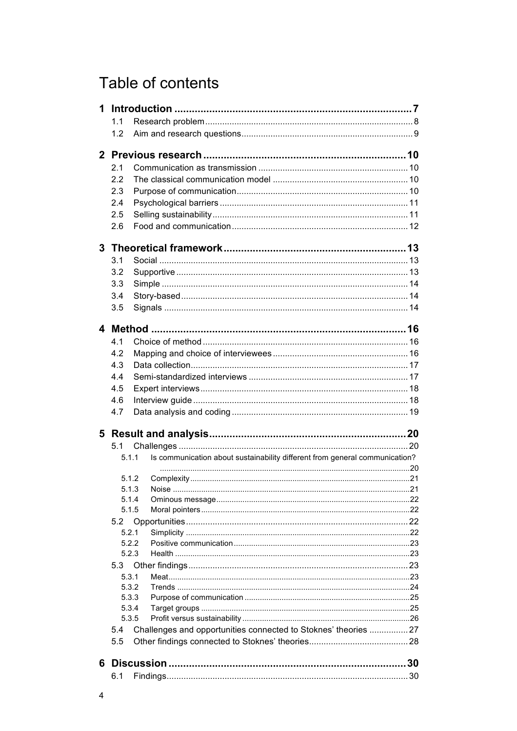# Table of contents

|   | 1.1   |                |                                                                             |    |
|---|-------|----------------|-----------------------------------------------------------------------------|----|
|   | 1.2   |                |                                                                             |    |
|   |       |                |                                                                             |    |
|   |       |                |                                                                             |    |
|   | 2.1   |                |                                                                             |    |
|   | 2.2   |                |                                                                             |    |
|   | 2.3   |                |                                                                             |    |
|   | 2.4   |                |                                                                             |    |
|   | 2.5   |                |                                                                             |    |
|   | 2.6   |                |                                                                             |    |
|   |       |                |                                                                             |    |
| 3 |       |                |                                                                             |    |
|   | 3.1   |                |                                                                             |    |
|   |       |                |                                                                             |    |
|   | 3.2   |                |                                                                             |    |
|   | 3.3   |                |                                                                             |    |
|   | 3.4   |                |                                                                             |    |
|   | 3.5   |                |                                                                             |    |
|   |       |                |                                                                             |    |
|   |       |                |                                                                             |    |
|   | 4.1   |                |                                                                             |    |
|   | 4.2   |                |                                                                             |    |
|   | 4.3   |                |                                                                             |    |
|   | 4.4   |                |                                                                             |    |
|   | 4.5   |                |                                                                             |    |
|   | 4.6   |                |                                                                             |    |
|   | 4.7   |                |                                                                             |    |
|   |       |                |                                                                             |    |
|   |       |                |                                                                             |    |
|   | 5.1   |                |                                                                             |    |
|   | 5.1.1 |                | Is communication about sustainability different from general communication? |    |
|   |       |                |                                                                             |    |
|   |       | 5.1.2          |                                                                             |    |
|   |       | 513            | Noise                                                                       | 21 |
|   |       | 5.1.4<br>5.1.5 |                                                                             |    |
|   |       |                |                                                                             |    |
|   | 5.2   |                |                                                                             |    |
|   | 5.2.1 | 5.2.2          |                                                                             |    |
|   |       | 5.2.3          |                                                                             |    |
|   | 5.3   |                |                                                                             |    |
|   | 5.3.1 |                |                                                                             |    |
|   |       | 5.3.2          |                                                                             |    |
|   |       | 5.3.3          |                                                                             |    |
|   |       | 5.3.4          |                                                                             |    |
|   |       | 5.3.5          |                                                                             |    |
|   | 5.4   |                | Challenges and opportunities connected to Stoknes' theories  27             |    |
|   | 5.5   |                |                                                                             |    |
|   |       |                |                                                                             |    |
|   |       |                |                                                                             |    |
|   | 6.1   |                |                                                                             |    |
|   |       |                |                                                                             |    |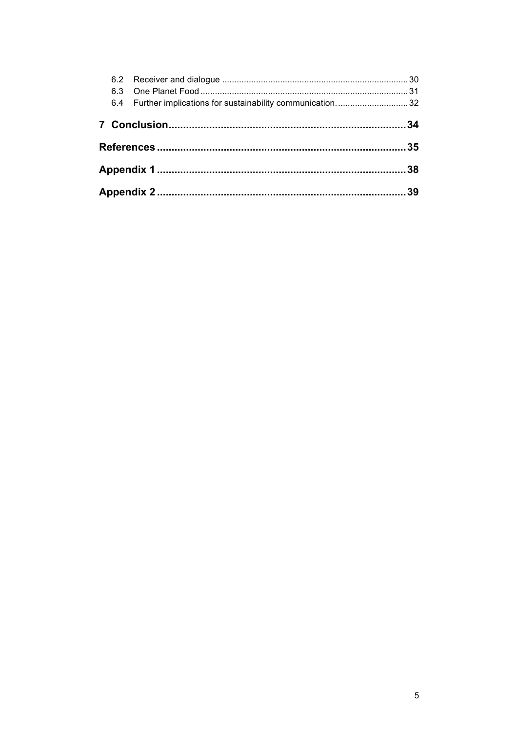|  |  | 6.4 Further implications for sustainability communication32 |  |  |  |
|--|--|-------------------------------------------------------------|--|--|--|
|  |  |                                                             |  |  |  |
|  |  |                                                             |  |  |  |
|  |  |                                                             |  |  |  |
|  |  |                                                             |  |  |  |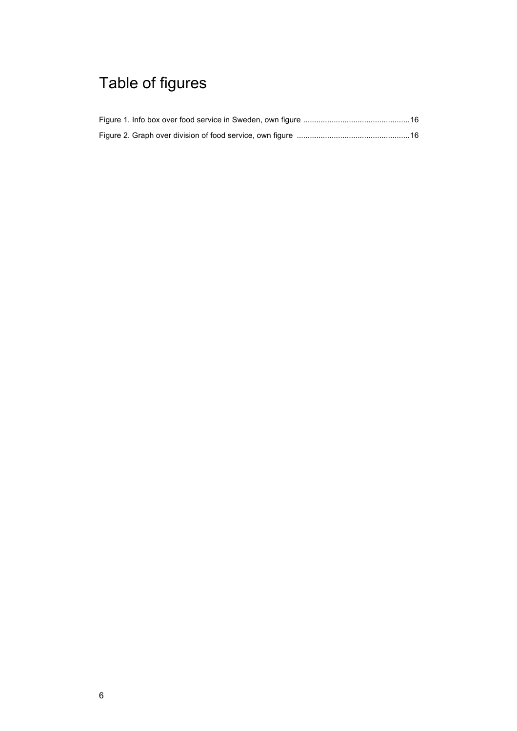# Table of figures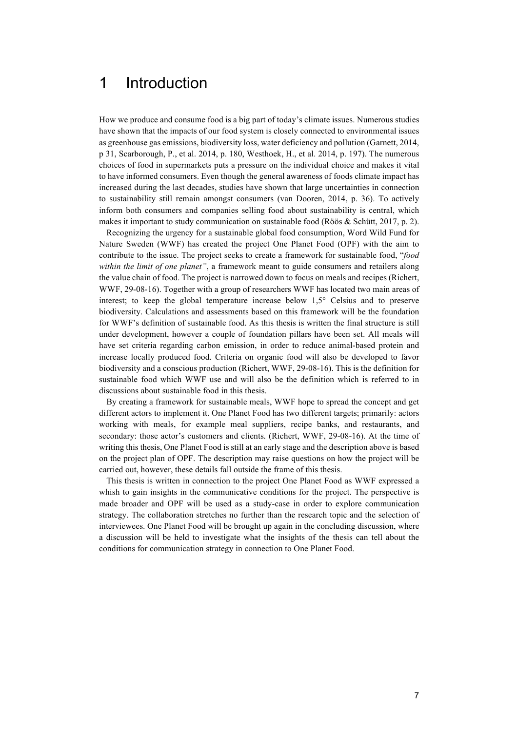## 1 Introduction

How we produce and consume food is a big part of today's climate issues. Numerous studies have shown that the impacts of our food system is closely connected to environmental issues as greenhouse gas emissions, biodiversity loss, water deficiency and pollution (Garnett, 2014, p 31, Scarborough, P., et al. 2014, p. 180, Westhoek, H., et al. 2014, p. 197). The numerous choices of food in supermarkets puts a pressure on the individual choice and makes it vital to have informed consumers. Even though the general awareness of foods climate impact has increased during the last decades, studies have shown that large uncertainties in connection to sustainability still remain amongst consumers (van Dooren, 2014, p. 36). To actively inform both consumers and companies selling food about sustainability is central, which makes it important to study communication on sustainable food (Röös & Schütt, 2017, p. 2).

Recognizing the urgency for a sustainable global food consumption, Word Wild Fund for Nature Sweden (WWF) has created the project One Planet Food (OPF) with the aim to contribute to the issue. The project seeks to create a framework for sustainable food, "*food within the limit of one planet"*, a framework meant to guide consumers and retailers along the value chain of food. The project is narrowed down to focus on meals and recipes (Richert, WWF, 29-08-16). Together with a group of researchers WWF has located two main areas of interest; to keep the global temperature increase below 1,5° Celsius and to preserve biodiversity. Calculations and assessments based on this framework will be the foundation for WWF's definition of sustainable food. As this thesis is written the final structure is still under development, however a couple of foundation pillars have been set. All meals will have set criteria regarding carbon emission, in order to reduce animal-based protein and increase locally produced food. Criteria on organic food will also be developed to favor biodiversity and a conscious production (Richert, WWF, 29-08-16). This is the definition for sustainable food which WWF use and will also be the definition which is referred to in discussions about sustainable food in this thesis.

By creating a framework for sustainable meals, WWF hope to spread the concept and get different actors to implement it. One Planet Food has two different targets; primarily: actors working with meals, for example meal suppliers, recipe banks, and restaurants, and secondary: those actor's customers and clients. (Richert, WWF, 29-08-16). At the time of writing this thesis, One Planet Food is still at an early stage and the description above is based on the project plan of OPF. The description may raise questions on how the project will be carried out, however, these details fall outside the frame of this thesis.

This thesis is written in connection to the project One Planet Food as WWF expressed a whish to gain insights in the communicative conditions for the project. The perspective is made broader and OPF will be used as a study-case in order to explore communication strategy. The collaboration stretches no further than the research topic and the selection of interviewees. One Planet Food will be brought up again in the concluding discussion, where a discussion will be held to investigate what the insights of the thesis can tell about the conditions for communication strategy in connection to One Planet Food.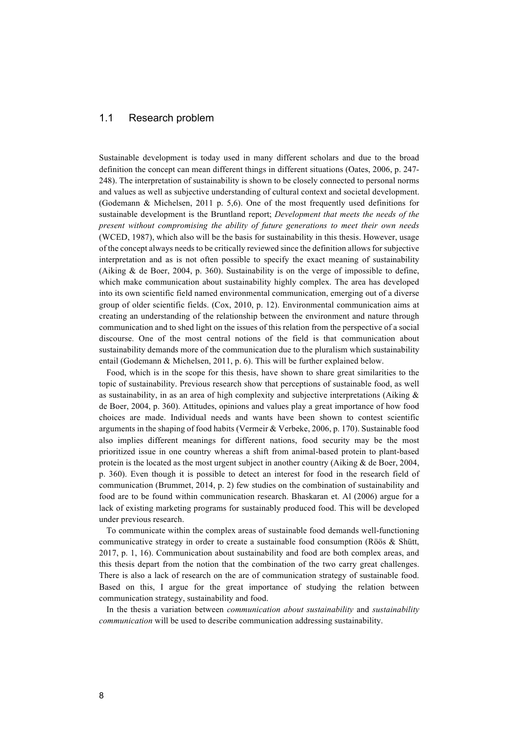### 1.1 Research problem

Sustainable development is today used in many different scholars and due to the broad definition the concept can mean different things in different situations (Oates, 2006, p. 247- 248). The interpretation of sustainability is shown to be closely connected to personal norms and values as well as subjective understanding of cultural context and societal development. (Godemann & Michelsen, 2011 p. 5,6). One of the most frequently used definitions for sustainable development is the Bruntland report; *Development that meets the needs of the present without compromising the ability of future generations to meet their own needs* (WCED, 1987), which also will be the basis for sustainability in this thesis. However, usage of the concept always needs to be critically reviewed since the definition allows for subjective interpretation and as is not often possible to specify the exact meaning of sustainability (Aiking  $\&$  de Boer, 2004, p. 360). Sustainability is on the verge of impossible to define, which make communication about sustainability highly complex. The area has developed into its own scientific field named environmental communication, emerging out of a diverse group of older scientific fields. (Cox, 2010, p. 12). Environmental communication aims at creating an understanding of the relationship between the environment and nature through communication and to shed light on the issues of this relation from the perspective of a social discourse. One of the most central notions of the field is that communication about sustainability demands more of the communication due to the pluralism which sustainability entail (Godemann & Michelsen, 2011, p. 6). This will be further explained below.

Food, which is in the scope for this thesis, have shown to share great similarities to the topic of sustainability. Previous research show that perceptions of sustainable food, as well as sustainability, in as an area of high complexity and subjective interpretations (Aiking  $\&$ de Boer, 2004, p. 360). Attitudes, opinions and values play a great importance of how food choices are made. Individual needs and wants have been shown to contest scientific arguments in the shaping of food habits (Vermeir & Verbeke, 2006, p. 170). Sustainable food also implies different meanings for different nations, food security may be the most prioritized issue in one country whereas a shift from animal-based protein to plant-based protein is the located as the most urgent subject in another country (Aiking & de Boer, 2004, p. 360). Even though it is possible to detect an interest for food in the research field of communication (Brummet, 2014, p. 2) few studies on the combination of sustainability and food are to be found within communication research. Bhaskaran et. Al (2006) argue for a lack of existing marketing programs for sustainably produced food. This will be developed under previous research.

To communicate within the complex areas of sustainable food demands well-functioning communicative strategy in order to create a sustainable food consumption (Röös & Shütt, 2017, p. 1, 16). Communication about sustainability and food are both complex areas, and this thesis depart from the notion that the combination of the two carry great challenges. There is also a lack of research on the are of communication strategy of sustainable food. Based on this, I argue for the great importance of studying the relation between communication strategy, sustainability and food.

In the thesis a variation between *communication about sustainability* and *sustainability communication* will be used to describe communication addressing sustainability.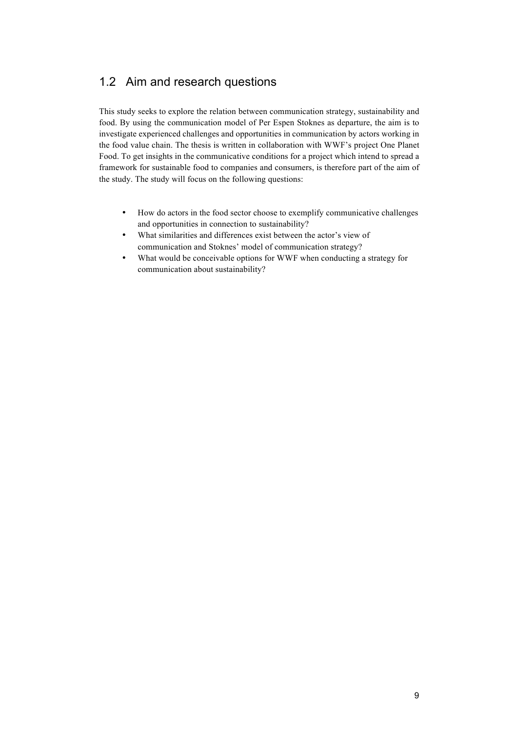## 1.2 Aim and research questions

This study seeks to explore the relation between communication strategy, sustainability and food. By using the communication model of Per Espen Stoknes as departure, the aim is to investigate experienced challenges and opportunities in communication by actors working in the food value chain. The thesis is written in collaboration with WWF's project One Planet Food. To get insights in the communicative conditions for a project which intend to spread a framework for sustainable food to companies and consumers, is therefore part of the aim of the study. The study will focus on the following questions:

- How do actors in the food sector choose to exemplify communicative challenges and opportunities in connection to sustainability?
- What similarities and differences exist between the actor's view of communication and Stoknes' model of communication strategy?
- What would be conceivable options for WWF when conducting a strategy for communication about sustainability?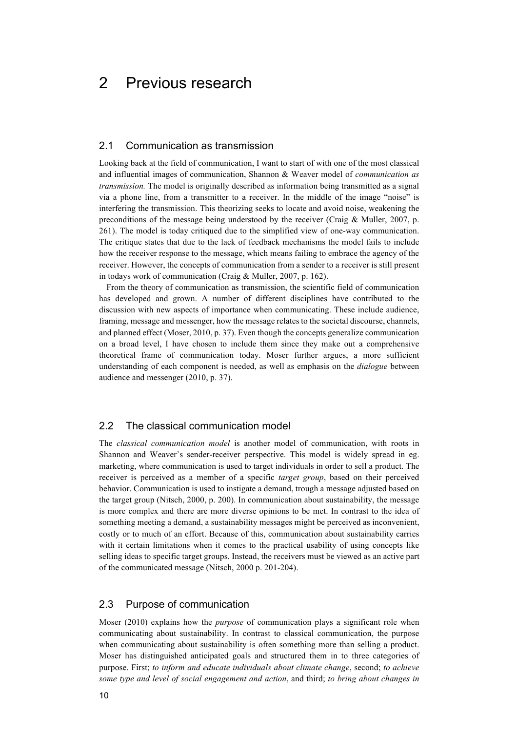## 2 Previous research

### 2.1 Communication as transmission

Looking back at the field of communication, I want to start of with one of the most classical and influential images of communication, Shannon & Weaver model of *communication as transmission.* The model is originally described as information being transmitted as a signal via a phone line, from a transmitter to a receiver. In the middle of the image "noise" is interfering the transmission. This theorizing seeks to locate and avoid noise, weakening the preconditions of the message being understood by the receiver (Craig & Muller, 2007, p. 261). The model is today critiqued due to the simplified view of one-way communication. The critique states that due to the lack of feedback mechanisms the model fails to include how the receiver response to the message, which means failing to embrace the agency of the receiver. However, the concepts of communication from a sender to a receiver is still present in todays work of communication (Craig & Muller, 2007, p. 162).

From the theory of communication as transmission, the scientific field of communication has developed and grown. A number of different disciplines have contributed to the discussion with new aspects of importance when communicating. These include audience, framing, message and messenger, how the message relates to the societal discourse, channels, and planned effect (Moser, 2010, p. 37). Even though the concepts generalize communication on a broad level, I have chosen to include them since they make out a comprehensive theoretical frame of communication today. Moser further argues, a more sufficient understanding of each component is needed, as well as emphasis on the *dialogue* between audience and messenger (2010, p. 37).

#### 2.2 The classical communication model

The *classical communication model* is another model of communication, with roots in Shannon and Weaver's sender-receiver perspective. This model is widely spread in eg. marketing, where communication is used to target individuals in order to sell a product. The receiver is perceived as a member of a specific *target group*, based on their perceived behavior. Communication is used to instigate a demand, trough a message adjusted based on the target group (Nitsch, 2000, p. 200). In communication about sustainability, the message is more complex and there are more diverse opinions to be met. In contrast to the idea of something meeting a demand, a sustainability messages might be perceived as inconvenient, costly or to much of an effort. Because of this, communication about sustainability carries with it certain limitations when it comes to the practical usability of using concepts like selling ideas to specific target groups. Instead, the receivers must be viewed as an active part of the communicated message (Nitsch, 2000 p. 201-204).

### 2.3 Purpose of communication

Moser (2010) explains how the *purpose* of communication plays a significant role when communicating about sustainability. In contrast to classical communication, the purpose when communicating about sustainability is often something more than selling a product. Moser has distinguished anticipated goals and structured them in to three categories of purpose. First; *to inform and educate individuals about climate change*, second; *to achieve some type and level of social engagement and action*, and third; *to bring about changes in*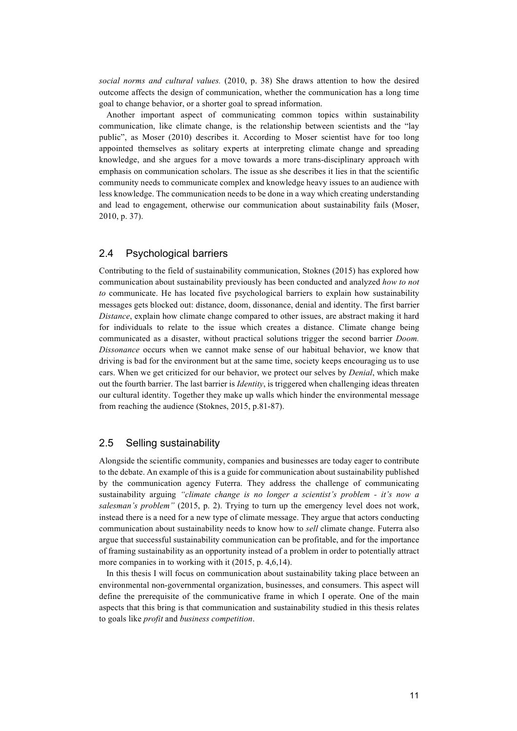*social norms and cultural values.* (2010, p. 38) She draws attention to how the desired outcome affects the design of communication, whether the communication has a long time goal to change behavior, or a shorter goal to spread information.

Another important aspect of communicating common topics within sustainability communication, like climate change, is the relationship between scientists and the "lay public", as Moser (2010) describes it. According to Moser scientist have for too long appointed themselves as solitary experts at interpreting climate change and spreading knowledge, and she argues for a move towards a more trans-disciplinary approach with emphasis on communication scholars. The issue as she describes it lies in that the scientific community needs to communicate complex and knowledge heavy issues to an audience with less knowledge. The communication needs to be done in a way which creating understanding and lead to engagement, otherwise our communication about sustainability fails (Moser, 2010, p. 37).

#### 2.4 Psychological barriers

Contributing to the field of sustainability communication, Stoknes (2015) has explored how communication about sustainability previously has been conducted and analyzed *how to not to* communicate. He has located five psychological barriers to explain how sustainability messages gets blocked out: distance, doom, dissonance, denial and identity. The first barrier *Distance*, explain how climate change compared to other issues, are abstract making it hard for individuals to relate to the issue which creates a distance. Climate change being communicated as a disaster, without practical solutions trigger the second barrier *Doom. Dissonance* occurs when we cannot make sense of our habitual behavior, we know that driving is bad for the environment but at the same time, society keeps encouraging us to use cars. When we get criticized for our behavior, we protect our selves by *Denial*, which make out the fourth barrier. The last barrier is *Identity*, is triggered when challenging ideas threaten our cultural identity. Together they make up walls which hinder the environmental message from reaching the audience (Stoknes, 2015, p.81-87).

#### 2.5 Selling sustainability

Alongside the scientific community, companies and businesses are today eager to contribute to the debate. An example of this is a guide for communication about sustainability published by the communication agency Futerra. They address the challenge of communicating sustainability arguing *"climate change is no longer a scientist's problem - it's now a salesman's problem"* (2015, p. 2). Trying to turn up the emergency level does not work, instead there is a need for a new type of climate message. They argue that actors conducting communication about sustainability needs to know how to *sell* climate change. Futerra also argue that successful sustainability communication can be profitable, and for the importance of framing sustainability as an opportunity instead of a problem in order to potentially attract more companies in to working with it  $(2015, p. 4, 6, 14)$ .

In this thesis I will focus on communication about sustainability taking place between an environmental non-governmental organization, businesses, and consumers. This aspect will define the prerequisite of the communicative frame in which I operate. One of the main aspects that this bring is that communication and sustainability studied in this thesis relates to goals like *profit* and *business competition*.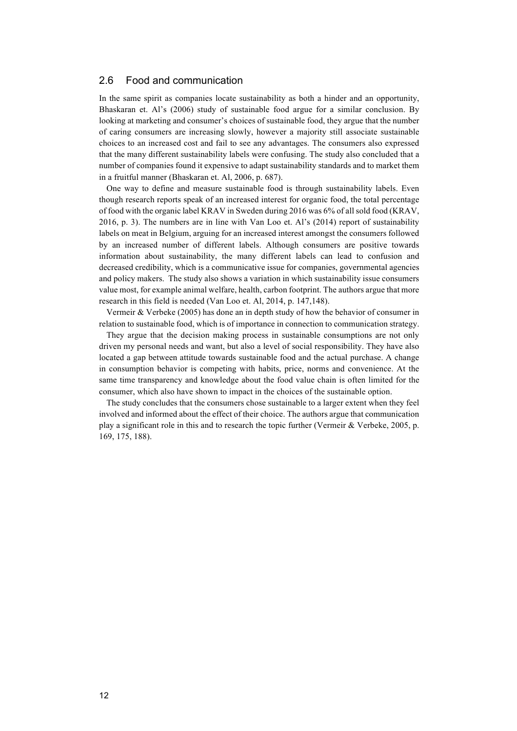#### 2.6 Food and communication

In the same spirit as companies locate sustainability as both a hinder and an opportunity, Bhaskaran et. Al's (2006) study of sustainable food argue for a similar conclusion. By looking at marketing and consumer's choices of sustainable food, they argue that the number of caring consumers are increasing slowly, however a majority still associate sustainable choices to an increased cost and fail to see any advantages. The consumers also expressed that the many different sustainability labels were confusing. The study also concluded that a number of companies found it expensive to adapt sustainability standards and to market them in a fruitful manner (Bhaskaran et. Al, 2006, p. 687).

One way to define and measure sustainable food is through sustainability labels. Even though research reports speak of an increased interest for organic food, the total percentage of food with the organic label KRAV in Sweden during 2016 was 6% of all sold food (KRAV, 2016, p. 3). The numbers are in line with Van Loo et. Al's (2014) report of sustainability labels on meat in Belgium, arguing for an increased interest amongst the consumers followed by an increased number of different labels. Although consumers are positive towards information about sustainability, the many different labels can lead to confusion and decreased credibility, which is a communicative issue for companies, governmental agencies and policy makers. The study also shows a variation in which sustainability issue consumers value most, for example animal welfare, health, carbon footprint. The authors argue that more research in this field is needed (Van Loo et. Al, 2014, p. 147,148).

Vermeir & Verbeke (2005) has done an in depth study of how the behavior of consumer in relation to sustainable food, which is of importance in connection to communication strategy.

They argue that the decision making process in sustainable consumptions are not only driven my personal needs and want, but also a level of social responsibility. They have also located a gap between attitude towards sustainable food and the actual purchase. A change in consumption behavior is competing with habits, price, norms and convenience. At the same time transparency and knowledge about the food value chain is often limited for the consumer, which also have shown to impact in the choices of the sustainable option.

The study concludes that the consumers chose sustainable to a larger extent when they feel involved and informed about the effect of their choice. The authors argue that communication play a significant role in this and to research the topic further (Vermeir & Verbeke, 2005, p. 169, 175, 188).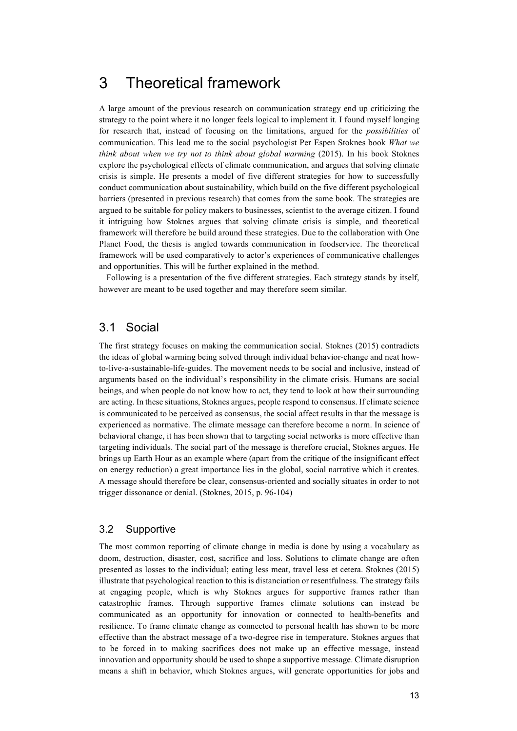## 3 Theoretical framework

A large amount of the previous research on communication strategy end up criticizing the strategy to the point where it no longer feels logical to implement it. I found myself longing for research that, instead of focusing on the limitations, argued for the *possibilities* of communication. This lead me to the social psychologist Per Espen Stoknes book *What we think about when we try not to think about global warming* (2015). In his book Stoknes explore the psychological effects of climate communication, and argues that solving climate crisis is simple. He presents a model of five different strategies for how to successfully conduct communication about sustainability, which build on the five different psychological barriers (presented in previous research) that comes from the same book. The strategies are argued to be suitable for policy makers to businesses, scientist to the average citizen. I found it intriguing how Stoknes argues that solving climate crisis is simple, and theoretical framework will therefore be build around these strategies. Due to the collaboration with One Planet Food, the thesis is angled towards communication in foodservice. The theoretical framework will be used comparatively to actor's experiences of communicative challenges and opportunities. This will be further explained in the method.

Following is a presentation of the five different strategies. Each strategy stands by itself, however are meant to be used together and may therefore seem similar.

## 3.1 Social

The first strategy focuses on making the communication social. Stoknes (2015) contradicts the ideas of global warming being solved through individual behavior-change and neat howto-live-a-sustainable-life-guides. The movement needs to be social and inclusive, instead of arguments based on the individual's responsibility in the climate crisis. Humans are social beings, and when people do not know how to act, they tend to look at how their surrounding are acting. In these situations, Stoknes argues, people respond to consensus. If climate science is communicated to be perceived as consensus, the social affect results in that the message is experienced as normative. The climate message can therefore become a norm. In science of behavioral change, it has been shown that to targeting social networks is more effective than targeting individuals. The social part of the message is therefore crucial, Stoknes argues. He brings up Earth Hour as an example where (apart from the critique of the insignificant effect on energy reduction) a great importance lies in the global, social narrative which it creates. A message should therefore be clear, consensus-oriented and socially situates in order to not trigger dissonance or denial. (Stoknes, 2015, p. 96-104)

#### 3.2 Supportive

The most common reporting of climate change in media is done by using a vocabulary as doom, destruction, disaster, cost, sacrifice and loss. Solutions to climate change are often presented as losses to the individual; eating less meat, travel less et cetera. Stoknes (2015) illustrate that psychological reaction to this is distanciation or resentfulness. The strategy fails at engaging people, which is why Stoknes argues for supportive frames rather than catastrophic frames. Through supportive frames climate solutions can instead be communicated as an opportunity for innovation or connected to health-benefits and resilience. To frame climate change as connected to personal health has shown to be more effective than the abstract message of a two-degree rise in temperature. Stoknes argues that to be forced in to making sacrifices does not make up an effective message, instead innovation and opportunity should be used to shape a supportive message. Climate disruption means a shift in behavior, which Stoknes argues, will generate opportunities for jobs and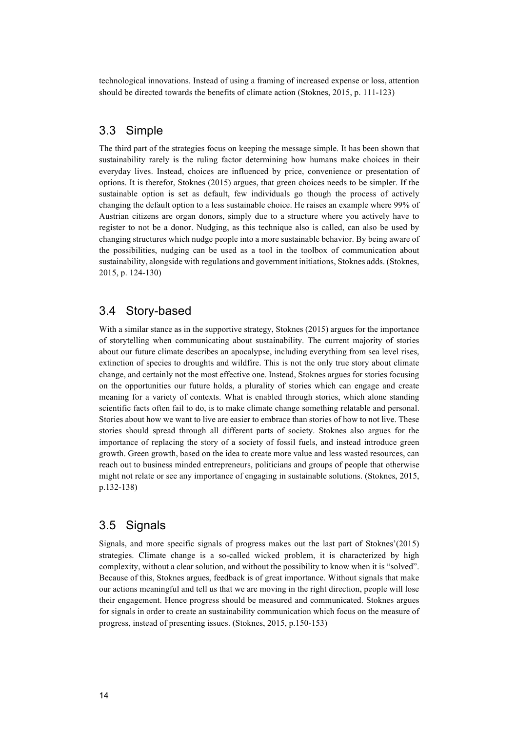technological innovations. Instead of using a framing of increased expense or loss, attention should be directed towards the benefits of climate action (Stoknes, 2015, p. 111-123)

## 3.3 Simple

The third part of the strategies focus on keeping the message simple. It has been shown that sustainability rarely is the ruling factor determining how humans make choices in their everyday lives. Instead, choices are influenced by price, convenience or presentation of options. It is therefor, Stoknes (2015) argues, that green choices needs to be simpler. If the sustainable option is set as default, few individuals go though the process of actively changing the default option to a less sustainable choice. He raises an example where 99% of Austrian citizens are organ donors, simply due to a structure where you actively have to register to not be a donor. Nudging, as this technique also is called, can also be used by changing structures which nudge people into a more sustainable behavior. By being aware of the possibilities, nudging can be used as a tool in the toolbox of communication about sustainability, alongside with regulations and government initiations, Stoknes adds. (Stoknes, 2015, p. 124-130)

## 3.4 Story-based

With a similar stance as in the supportive strategy, Stoknes (2015) argues for the importance of storytelling when communicating about sustainability. The current majority of stories about our future climate describes an apocalypse, including everything from sea level rises, extinction of species to droughts and wildfire. This is not the only true story about climate change, and certainly not the most effective one. Instead, Stoknes argues for stories focusing on the opportunities our future holds, a plurality of stories which can engage and create meaning for a variety of contexts. What is enabled through stories, which alone standing scientific facts often fail to do, is to make climate change something relatable and personal. Stories about how we want to live are easier to embrace than stories of how to not live. These stories should spread through all different parts of society. Stoknes also argues for the importance of replacing the story of a society of fossil fuels, and instead introduce green growth. Green growth, based on the idea to create more value and less wasted resources, can reach out to business minded entrepreneurs, politicians and groups of people that otherwise might not relate or see any importance of engaging in sustainable solutions. (Stoknes, 2015, p.132-138)

## 3.5 Signals

Signals, and more specific signals of progress makes out the last part of Stoknes'(2015) strategies. Climate change is a so-called wicked problem, it is characterized by high complexity, without a clear solution, and without the possibility to know when it is "solved". Because of this, Stoknes argues, feedback is of great importance. Without signals that make our actions meaningful and tell us that we are moving in the right direction, people will lose their engagement. Hence progress should be measured and communicated. Stoknes argues for signals in order to create an sustainability communication which focus on the measure of progress, instead of presenting issues. (Stoknes, 2015, p.150-153)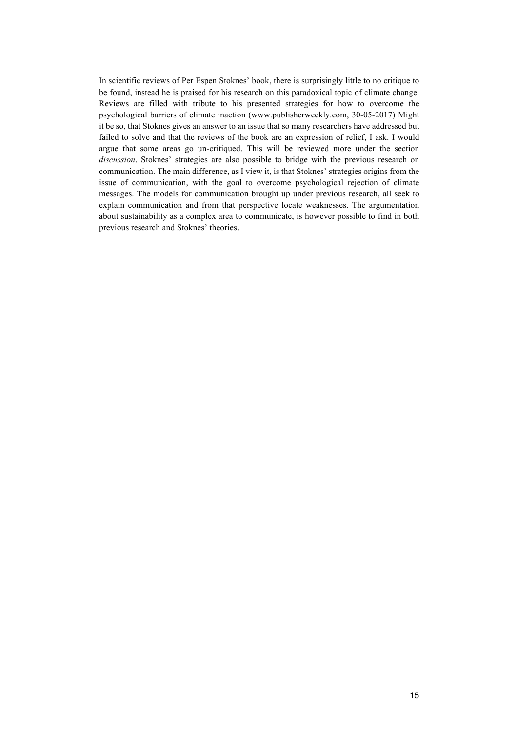In scientific reviews of Per Espen Stoknes' book, there is surprisingly little to no critique to be found, instead he is praised for his research on this paradoxical topic of climate change. Reviews are filled with tribute to his presented strategies for how to overcome the psychological barriers of climate inaction (www.publisherweekly.com, 30-05-2017) Might it be so, that Stoknes gives an answer to an issue that so many researchers have addressed but failed to solve and that the reviews of the book are an expression of relief, I ask. I would argue that some areas go un-critiqued. This will be reviewed more under the section *discussion*. Stoknes' strategies are also possible to bridge with the previous research on communication. The main difference, as I view it, is that Stoknes' strategies origins from the issue of communication, with the goal to overcome psychological rejection of climate messages. The models for communication brought up under previous research, all seek to explain communication and from that perspective locate weaknesses. The argumentation about sustainability as a complex area to communicate, is however possible to find in both previous research and Stoknes' theories.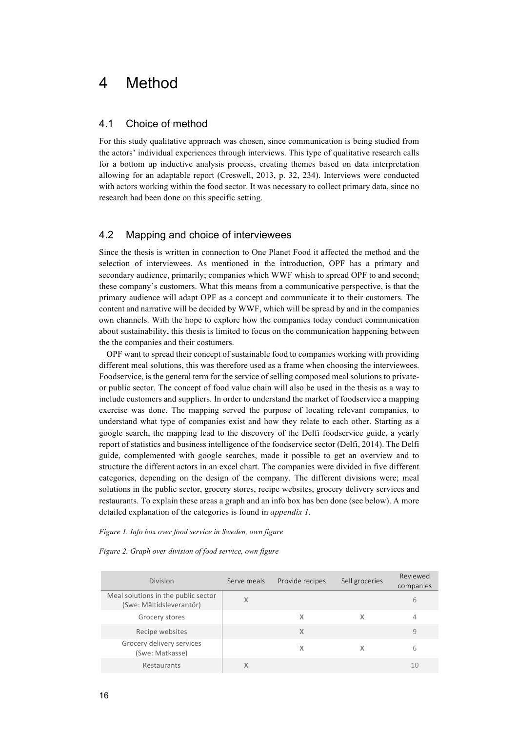## 4 Method

#### 4.1 Choice of method

For this study qualitative approach was chosen, since communication is being studied from the actors' individual experiences through interviews. This type of qualitative research calls for a bottom up inductive analysis process, creating themes based on data interpretation allowing for an adaptable report (Creswell, 2013, p. 32, 234). Interviews were conducted with actors working within the food sector. It was necessary to collect primary data, since no research had been done on this specific setting.

### 4.2 Mapping and choice of interviewees

Since the thesis is written in connection to One Planet Food it affected the method and the selection of interviewees. As mentioned in the introduction, OPF has a primary and secondary audience, primarily; companies which WWF whish to spread OPF to and second; these company's customers. What this means from a communicative perspective, is that the primary audience will adapt OPF as a concept and communicate it to their customers. The content and narrative will be decided by WWF, which will be spread by and in the companies own channels. With the hope to explore how the companies today conduct communication about sustainability, this thesis is limited to focus on the communication happening between the the companies and their costumers.

OPF want to spread their concept of sustainable food to companies working with providing different meal solutions, this was therefore used as a frame when choosing the interviewees. Foodservice, is the general term for the service of selling composed meal solutions to privateor public sector. The concept of food value chain will also be used in the thesis as a way to include customers and suppliers. In order to understand the market of foodservice a mapping exercise was done. The mapping served the purpose of locating relevant companies, to understand what type of companies exist and how they relate to each other. Starting as a google search, the mapping lead to the discovery of the Delfi foodservice guide, a yearly report of statistics and business intelligence of the foodservice sector (Delfi, 2014). The Delfi guide, complemented with google searches, made it possible to get an overview and to structure the different actors in an excel chart. The companies were divided in five different categories, depending on the design of the company. The different divisions were; meal solutions in the public sector, grocery stores, recipe websites, grocery delivery services and restaurants. To explain these areas a graph and an info box has ben done (see below). A more detailed explanation of the categories is found in *appendix 1.*

#### *Figure 1. Info box over food service in Sweden, own figure*

|  | Figure 2. Graph over division of food service, own figure |  |  |  |  |
|--|-----------------------------------------------------------|--|--|--|--|
|--|-----------------------------------------------------------|--|--|--|--|

| <b>Division</b>                                                 | Serve meals | Provide recipes | Sell groceries | Reviewed<br>companies |
|-----------------------------------------------------------------|-------------|-----------------|----------------|-----------------------|
| Meal solutions in the public sector<br>(Swe: Måltidsleverantör) | X           |                 |                | 6                     |
| Grocery stores                                                  |             | x               | х              | 4                     |
| Recipe websites                                                 |             | X               |                | 9                     |
| Grocery delivery services<br>(Swe: Matkasse)                    |             | x               | χ              | 6                     |
| Restaurants                                                     | Χ           |                 |                | 10                    |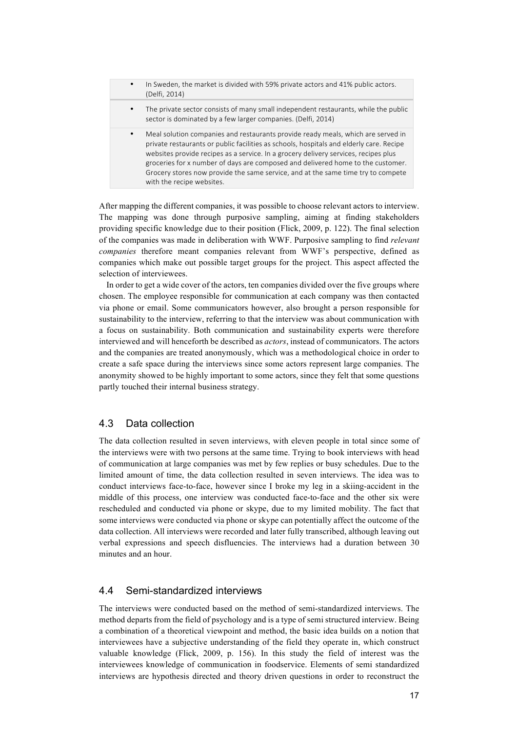In Sweden, the market is divided with 59% private actors and 41% public actors. (Delfi, 2014) The private sector consists of many small independent restaurants, while the public sector is dominated by a few larger companies. (Delfi, 2014) Meal solution companies and restaurants provide ready meals, which are served in private restaurants or public facilities as schools, hospitals and elderly care. Recipe websites provide recipes as a service. In a grocery delivery services, recipes plus groceries for x number of days are composed and delivered home to the customer. Grocery stores now provide the same service, and at the same time try to compete with the recipe websites.

After mapping the different companies, it was possible to choose relevant actors to interview. The mapping was done through purposive sampling, aiming at finding stakeholders providing specific knowledge due to their position (Flick, 2009, p. 122). The final selection of the companies was made in deliberation with WWF. Purposive sampling to find *relevant companies* therefore meant companies relevant from WWF's perspective, defined as companies which make out possible target groups for the project. This aspect affected the selection of interviewees.

In order to get a wide cover of the actors, ten companies divided over the five groups where chosen. The employee responsible for communication at each company was then contacted via phone or email. Some communicators however, also brought a person responsible for sustainability to the interview, referring to that the interview was about communication with a focus on sustainability. Both communication and sustainability experts were therefore interviewed and will henceforth be described as *actors*, instead of communicators. The actors and the companies are treated anonymously, which was a methodological choice in order to create a safe space during the interviews since some actors represent large companies. The anonymity showed to be highly important to some actors, since they felt that some questions partly touched their internal business strategy.

## 4.3 Data collection

The data collection resulted in seven interviews, with eleven people in total since some of the interviews were with two persons at the same time. Trying to book interviews with head of communication at large companies was met by few replies or busy schedules. Due to the limited amount of time, the data collection resulted in seven interviews. The idea was to conduct interviews face-to-face, however since I broke my leg in a skiing-accident in the middle of this process, one interview was conducted face-to-face and the other six were rescheduled and conducted via phone or skype, due to my limited mobility. The fact that some interviews were conducted via phone or skype can potentially affect the outcome of the data collection. All interviews were recorded and later fully transcribed, although leaving out verbal expressions and speech disfluencies. The interviews had a duration between 30 minutes and an hour.

## 4.4 Semi-standardized interviews

The interviews were conducted based on the method of semi-standardized interviews. The method departs from the field of psychology and is a type of semi structured interview. Being a combination of a theoretical viewpoint and method, the basic idea builds on a notion that interviewees have a subjective understanding of the field they operate in, which construct valuable knowledge (Flick, 2009, p. 156). In this study the field of interest was the interviewees knowledge of communication in foodservice. Elements of semi standardized interviews are hypothesis directed and theory driven questions in order to reconstruct the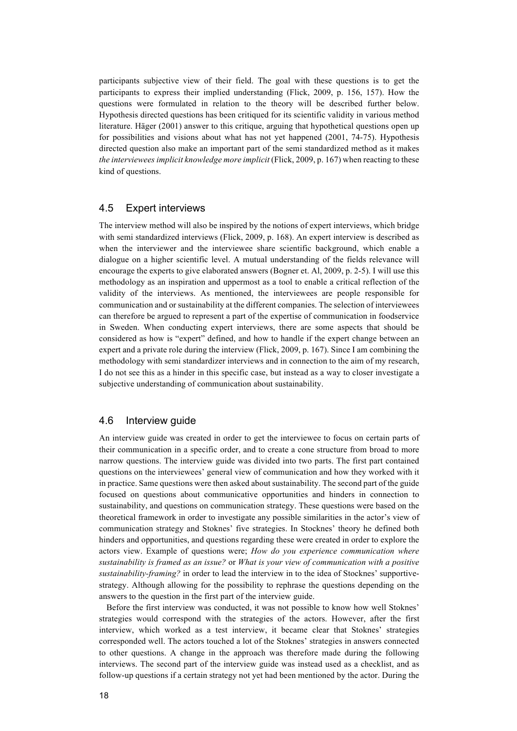participants subjective view of their field. The goal with these questions is to get the participants to express their implied understanding (Flick, 2009, p. 156, 157). How the questions were formulated in relation to the theory will be described further below. Hypothesis directed questions has been critiqued for its scientific validity in various method literature. Häger (2001) answer to this critique, arguing that hypothetical questions open up for possibilities and visions about what has not yet happened (2001, 74-75). Hypothesis directed question also make an important part of the semi standardized method as it makes *the interviewees implicit knowledge more implicit* (Flick, 2009, p. 167) when reacting to these kind of questions.

#### 4.5 Expert interviews

The interview method will also be inspired by the notions of expert interviews, which bridge with semi standardized interviews (Flick, 2009, p. 168). An expert interview is described as when the interviewer and the interviewee share scientific background, which enable a dialogue on a higher scientific level. A mutual understanding of the fields relevance will encourage the experts to give elaborated answers (Bogner et. Al, 2009, p. 2-5). I will use this methodology as an inspiration and uppermost as a tool to enable a critical reflection of the validity of the interviews. As mentioned, the interviewees are people responsible for communication and or sustainability at the different companies. The selection of interviewees can therefore be argued to represent a part of the expertise of communication in foodservice in Sweden. When conducting expert interviews, there are some aspects that should be considered as how is "expert" defined, and how to handle if the expert change between an expert and a private role during the interview (Flick, 2009, p. 167). Since I am combining the methodology with semi standardizer interviews and in connection to the aim of my research, I do not see this as a hinder in this specific case, but instead as a way to closer investigate a subjective understanding of communication about sustainability.

### 4.6 Interview guide

An interview guide was created in order to get the interviewee to focus on certain parts of their communication in a specific order, and to create a cone structure from broad to more narrow questions. The interview guide was divided into two parts. The first part contained questions on the interviewees' general view of communication and how they worked with it in practice. Same questions were then asked about sustainability. The second part of the guide focused on questions about communicative opportunities and hinders in connection to sustainability, and questions on communication strategy. These questions were based on the theoretical framework in order to investigate any possible similarities in the actor's view of communication strategy and Stoknes' five strategies. In Stocknes' theory he defined both hinders and opportunities, and questions regarding these were created in order to explore the actors view. Example of questions were; *How do you experience communication where sustainability is framed as an issue?* or *What is your view of communication with a positive sustainability-framing?* in order to lead the interview in to the idea of Stocknes' supportivestrategy. Although allowing for the possibility to rephrase the questions depending on the answers to the question in the first part of the interview guide.

Before the first interview was conducted, it was not possible to know how well Stoknes' strategies would correspond with the strategies of the actors. However, after the first interview, which worked as a test interview, it became clear that Stoknes' strategies corresponded well. The actors touched a lot of the Stoknes' strategies in answers connected to other questions. A change in the approach was therefore made during the following interviews. The second part of the interview guide was instead used as a checklist, and as follow-up questions if a certain strategy not yet had been mentioned by the actor. During the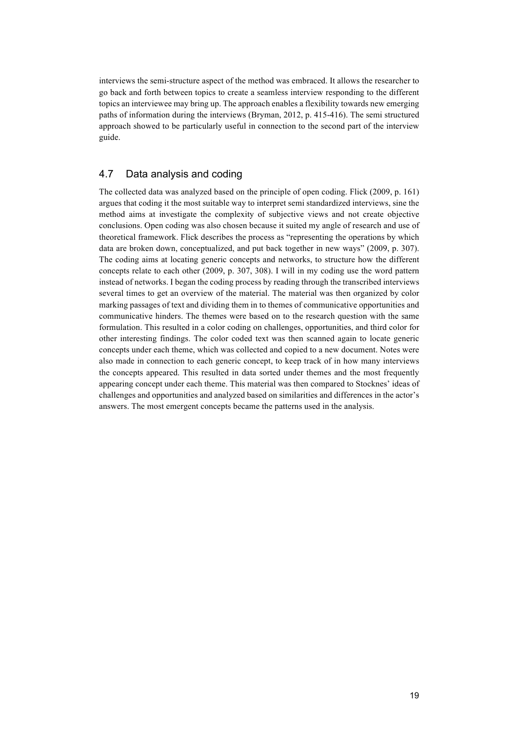interviews the semi-structure aspect of the method was embraced. It allows the researcher to go back and forth between topics to create a seamless interview responding to the different topics an interviewee may bring up. The approach enables a flexibility towards new emerging paths of information during the interviews (Bryman, 2012, p. 415-416). The semi structured approach showed to be particularly useful in connection to the second part of the interview guide.

## 4.7 Data analysis and coding

The collected data was analyzed based on the principle of open coding. Flick (2009, p. 161) argues that coding it the most suitable way to interpret semi standardized interviews, sine the method aims at investigate the complexity of subjective views and not create objective conclusions. Open coding was also chosen because it suited my angle of research and use of theoretical framework. Flick describes the process as "representing the operations by which data are broken down, conceptualized, and put back together in new ways" (2009, p. 307). The coding aims at locating generic concepts and networks, to structure how the different concepts relate to each other (2009, p. 307, 308). I will in my coding use the word pattern instead of networks. I began the coding process by reading through the transcribed interviews several times to get an overview of the material. The material was then organized by color marking passages of text and dividing them in to themes of communicative opportunities and communicative hinders. The themes were based on to the research question with the same formulation. This resulted in a color coding on challenges, opportunities, and third color for other interesting findings. The color coded text was then scanned again to locate generic concepts under each theme, which was collected and copied to a new document. Notes were also made in connection to each generic concept, to keep track of in how many interviews the concepts appeared. This resulted in data sorted under themes and the most frequently appearing concept under each theme. This material was then compared to Stocknes' ideas of challenges and opportunities and analyzed based on similarities and differences in the actor's answers. The most emergent concepts became the patterns used in the analysis.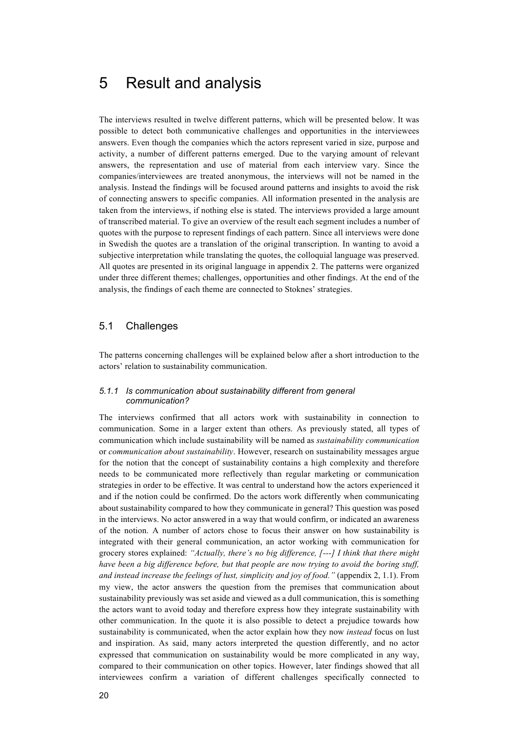## 5 Result and analysis

The interviews resulted in twelve different patterns, which will be presented below. It was possible to detect both communicative challenges and opportunities in the interviewees answers. Even though the companies which the actors represent varied in size, purpose and activity, a number of different patterns emerged. Due to the varying amount of relevant answers, the representation and use of material from each interview vary. Since the companies/interviewees are treated anonymous, the interviews will not be named in the analysis. Instead the findings will be focused around patterns and insights to avoid the risk of connecting answers to specific companies. All information presented in the analysis are taken from the interviews, if nothing else is stated. The interviews provided a large amount of transcribed material. To give an overview of the result each segment includes a number of quotes with the purpose to represent findings of each pattern. Since all interviews were done in Swedish the quotes are a translation of the original transcription. In wanting to avoid a subjective interpretation while translating the quotes, the colloquial language was preserved. All quotes are presented in its original language in appendix 2. The patterns were organized under three different themes; challenges, opportunities and other findings. At the end of the analysis, the findings of each theme are connected to Stoknes' strategies.

## 5.1 Challenges

The patterns concerning challenges will be explained below after a short introduction to the actors' relation to sustainability communication.

#### *5.1.1 Is communication about sustainability different from general communication?*

The interviews confirmed that all actors work with sustainability in connection to communication. Some in a larger extent than others. As previously stated, all types of communication which include sustainability will be named as *sustainability communication* or *communication about sustainability*. However, research on sustainability messages argue for the notion that the concept of sustainability contains a high complexity and therefore needs to be communicated more reflectively than regular marketing or communication strategies in order to be effective. It was central to understand how the actors experienced it and if the notion could be confirmed. Do the actors work differently when communicating about sustainability compared to how they communicate in general? This question was posed in the interviews. No actor answered in a way that would confirm, or indicated an awareness of the notion. A number of actors chose to focus their answer on how sustainability is integrated with their general communication, an actor working with communication for grocery stores explained: *"Actually, there's no big difference, [---] I think that there might have been a big difference before, but that people are now trying to avoid the boring stuff, and instead increase the feelings of lust, simplicity and joy of food."* (appendix 2, 1.1). From my view, the actor answers the question from the premises that communication about sustainability previously was set aside and viewed as a dull communication, this is something the actors want to avoid today and therefore express how they integrate sustainability with other communication. In the quote it is also possible to detect a prejudice towards how sustainability is communicated, when the actor explain how they now *instead* focus on lust and inspiration. As said, many actors interpreted the question differently, and no actor expressed that communication on sustainability would be more complicated in any way, compared to their communication on other topics. However, later findings showed that all interviewees confirm a variation of different challenges specifically connected to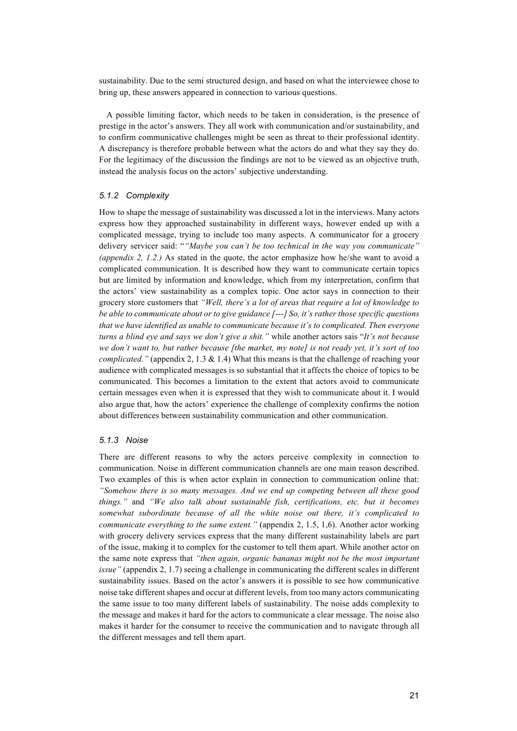sustainability. Due to the semi structured design, and based on what the interviewee chose to bring up, these answers appeared in connection to various questions.

A possible limiting factor, which needs to be taken in consideration, is the presence of prestige in the actor's answers. They all work with communication and/or sustainability, and to confirm communicative challenges might be seen as threat to their professional identity. A discrepancy is therefore probable between what the actors do and what they say they do. For the legitimacy of the discussion the findings are not to be viewed as an objective truth, instead the analysis focus on the actors' subjective understanding.

#### *5.1.2 Complexity*

How to shape the message of sustainability was discussed a lot in the interviews. Many actors express how they approached sustainability in different ways, however ended up with a complicated message, trying to include too many aspects. A communicator for a grocery delivery servicer said: "*"Maybe you can't be too technical in the way you communicate" (appendix 2, 1.2.)* As stated in the quote, the actor emphasize how he/she want to avoid a complicated communication. It is described how they want to communicate certain topics but are limited by information and knowledge, which from my interpretation, confirm that the actors' view sustainability as a complex topic. One actor says in connection to their grocery store customers that *"Well, there's a lot of areas that require a lot of knowledge to be able to communicate about or to give guidance [---] So, it's rather those specific questions that we have identified as unable to communicate because it's to complicated. Then everyone turns a blind eye and says we don't give a shit."* while another actors sais "*It's not because we don't want to, but rather because [the market, my note] is not ready yet, it's sort of too complicated."* (appendix 2, 1.3 & 1.4) What this means is that the challenge of reaching your audience with complicated messages is so substantial that it affects the choice of topics to be communicated. This becomes a limitation to the extent that actors avoid to communicate certain messages even when it is expressed that they wish to communicate about it. I would also argue that, how the actors' experience the challenge of complexity confirms the notion about differences between sustainability communication and other communication.

#### *5.1.3 Noise*

There are different reasons to why the actors perceive complexity in connection to communication. Noise in different communication channels are one main reason described. Two examples of this is when actor explain in connection to communication online that: *"Somehow there is so many messages. And we end up competing between all these good things."* and *"We also talk about sustainable fish, certifications, etc. but it becomes somewhat subordinate because of all the white noise out there, it's complicated to communicate everything to the same extent."* (appendix 2, 1.5, 1,6). Another actor working with grocery delivery services express that the many different sustainability labels are part of the issue, making it to complex for the customer to tell them apart. While another actor on the same note express that *"then again, organic bananas might not be the most important issue"* (appendix 2, 1.7) seeing a challenge in communicating the different scales in different sustainability issues. Based on the actor's answers it is possible to see how communicative noise take different shapes and occur at different levels, from too many actors communicating the same issue to too many different labels of sustainability. The noise adds complexity to the message and makes it hard for the actors to communicate a clear message. The noise also makes it harder for the consumer to receive the communication and to navigate through all the different messages and tell them apart.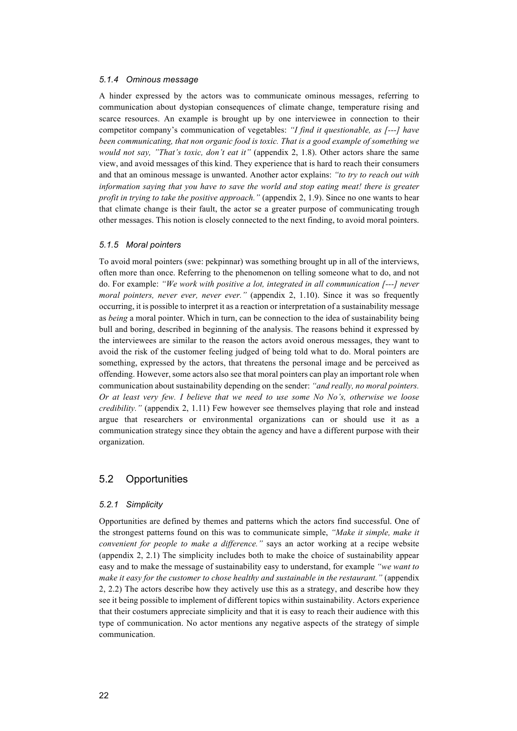#### *5.1.4 Ominous message*

A hinder expressed by the actors was to communicate ominous messages, referring to communication about dystopian consequences of climate change, temperature rising and scarce resources. An example is brought up by one interviewee in connection to their competitor company's communication of vegetables: *"I find it questionable, as [---] have been communicating, that non organic food is toxic. That is a good example of something we would not say, "That's toxic, don't eat it"* (appendix 2, 1.8). Other actors share the same view, and avoid messages of this kind. They experience that is hard to reach their consumers and that an ominous message is unwanted. Another actor explains: *"to try to reach out with information saying that you have to save the world and stop eating meat! there is greater profit in trying to take the positive approach."* (appendix 2, 1.9). Since no one wants to hear that climate change is their fault, the actor se a greater purpose of communicating trough other messages. This notion is closely connected to the next finding, to avoid moral pointers.

#### *5.1.5 Moral pointers*

To avoid moral pointers (swe: pekpinnar) was something brought up in all of the interviews, often more than once. Referring to the phenomenon on telling someone what to do, and not do. For example: *"We work with positive a lot, integrated in all communication [---] never moral pointers, never ever, never ever.*" (appendix 2, 1.10). Since it was so frequently occurring, it is possible to interpret it as a reaction or interpretation of a sustainability message as *being* a moral pointer. Which in turn, can be connection to the idea of sustainability being bull and boring, described in beginning of the analysis. The reasons behind it expressed by the interviewees are similar to the reason the actors avoid onerous messages, they want to avoid the risk of the customer feeling judged of being told what to do. Moral pointers are something, expressed by the actors, that threatens the personal image and be perceived as offending. However, some actors also see that moral pointers can play an important role when communication about sustainability depending on the sender: *"and really, no moral pointers. Or at least very few. I believe that we need to use some No No's, otherwise we loose credibility."* (appendix 2, 1.11) Few however see themselves playing that role and instead argue that researchers or environmental organizations can or should use it as a communication strategy since they obtain the agency and have a different purpose with their organization.

### 5.2 Opportunities

#### *5.2.1 Simplicity*

Opportunities are defined by themes and patterns which the actors find successful. One of the strongest patterns found on this was to communicate simple, *"Make it simple, make it convenient for people to make a difference."* says an actor working at a recipe website (appendix 2, 2.1) The simplicity includes both to make the choice of sustainability appear easy and to make the message of sustainability easy to understand, for example *"we want to make it easy for the customer to chose healthy and sustainable in the restaurant."* (appendix 2, 2.2) The actors describe how they actively use this as a strategy, and describe how they see it being possible to implement of different topics within sustainability. Actors experience that their costumers appreciate simplicity and that it is easy to reach their audience with this type of communication. No actor mentions any negative aspects of the strategy of simple communication.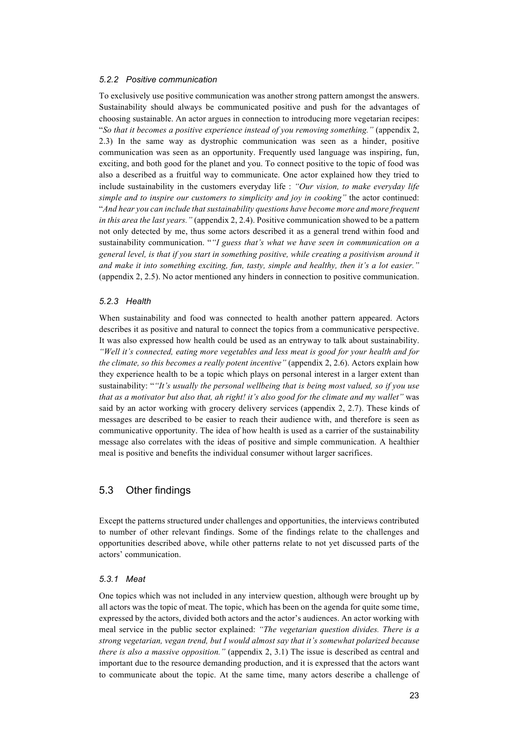#### *5.2.2 Positive communication*

To exclusively use positive communication was another strong pattern amongst the answers. Sustainability should always be communicated positive and push for the advantages of choosing sustainable. An actor argues in connection to introducing more vegetarian recipes: "*So that it becomes a positive experience instead of you removing something."* (appendix 2, 2.3) In the same way as dystrophic communication was seen as a hinder, positive communication was seen as an opportunity. Frequently used language was inspiring, fun, exciting, and both good for the planet and you. To connect positive to the topic of food was also a described as a fruitful way to communicate. One actor explained how they tried to include sustainability in the customers everyday life : *"Our vision, to make everyday life simple and to inspire our customers to simplicity and joy in cooking"* the actor continued: "*And hear you can include that sustainability questions have become more and more frequent in this area the last years."* (appendix 2, 2.4). Positive communication showed to be a pattern not only detected by me, thus some actors described it as a general trend within food and sustainability communication. "*"I guess that's what we have seen in communication on a general level, is that if you start in something positive, while creating a positivism around it and make it into something exciting, fun, tasty, simple and healthy, then it's a lot easier."* (appendix 2, 2.5). No actor mentioned any hinders in connection to positive communication.

#### *5.2.3 Health*

When sustainability and food was connected to health another pattern appeared. Actors describes it as positive and natural to connect the topics from a communicative perspective. It was also expressed how health could be used as an entryway to talk about sustainability. *"Well it's connected, eating more vegetables and less meat is good for your health and for the climate, so this becomes a really potent incentive"* (appendix 2, 2.6). Actors explain how they experience health to be a topic which plays on personal interest in a larger extent than sustainability: "*"It's usually the personal wellbeing that is being most valued, so if you use that as a motivator but also that, ah right! it's also good for the climate and my wallet"* was said by an actor working with grocery delivery services (appendix 2, 2.7). These kinds of messages are described to be easier to reach their audience with, and therefore is seen as communicative opportunity. The idea of how health is used as a carrier of the sustainability message also correlates with the ideas of positive and simple communication. A healthier meal is positive and benefits the individual consumer without larger sacrifices.

### 5.3 Other findings

Except the patterns structured under challenges and opportunities, the interviews contributed to number of other relevant findings. Some of the findings relate to the challenges and opportunities described above, while other patterns relate to not yet discussed parts of the actors' communication.

#### *5.3.1 Meat*

One topics which was not included in any interview question, although were brought up by all actors was the topic of meat. The topic, which has been on the agenda for quite some time, expressed by the actors, divided both actors and the actor's audiences. An actor working with meal service in the public sector explained: *"The vegetarian question divides. There is a strong vegetarian, vegan trend, but I would almost say that it's somewhat polarized because there is also a massive opposition."* (appendix 2, 3.1) The issue is described as central and important due to the resource demanding production, and it is expressed that the actors want to communicate about the topic. At the same time, many actors describe a challenge of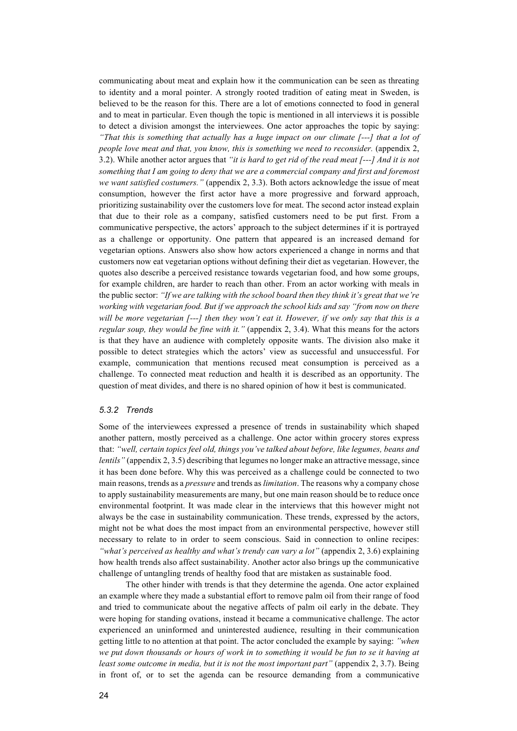communicating about meat and explain how it the communication can be seen as threating to identity and a moral pointer. A strongly rooted tradition of eating meat in Sweden, is believed to be the reason for this. There are a lot of emotions connected to food in general and to meat in particular. Even though the topic is mentioned in all interviews it is possible to detect a division amongst the interviewees. One actor approaches the topic by saying: *"That this is something that actually has a huge impact on our climate [---] that a lot of people love meat and that, you know, this is something we need to reconsider.* (appendix 2, 3.2). While another actor argues that *"it is hard to get rid of the read meat [---] And it is not something that I am going to deny that we are a commercial company and first and foremost we want satisfied costumers."* (appendix 2, 3.3). Both actors acknowledge the issue of meat consumption, however the first actor have a more progressive and forward approach, prioritizing sustainability over the customers love for meat. The second actor instead explain that due to their role as a company, satisfied customers need to be put first. From a communicative perspective, the actors' approach to the subject determines if it is portrayed as a challenge or opportunity. One pattern that appeared is an increased demand for vegetarian options. Answers also show how actors experienced a change in norms and that customers now eat vegetarian options without defining their diet as vegetarian. However, the quotes also describe a perceived resistance towards vegetarian food, and how some groups, for example children, are harder to reach than other. From an actor working with meals in the public sector: *"If we are talking with the school board then they think it's great that we're working with vegetarian food. But if we approach the school kids and say "from now on there will be more vegetarian [---] then they won't eat it. However, if we only say that this is a regular soup, they would be fine with it."* (appendix 2, 3.4). What this means for the actors is that they have an audience with completely opposite wants. The division also make it possible to detect strategies which the actors' view as successful and unsuccessful. For example, communication that mentions recused meat consumption is perceived as a challenge. To connected meat reduction and health it is described as an opportunity. The question of meat divides, and there is no shared opinion of how it best is communicated.

#### *5.3.2 Trends*

Some of the interviewees expressed a presence of trends in sustainability which shaped another pattern, mostly perceived as a challenge. One actor within grocery stores express that: *"well, certain topics feel old, things you've talked about before, like legumes, beans and lentils"* (appendix 2, 3.5) describing that legumes no longer make an attractive message, since it has been done before. Why this was perceived as a challenge could be connected to two main reasons, trends as a *pressure* and trends as *limitation*. The reasons why a company chose to apply sustainability measurements are many, but one main reason should be to reduce once environmental footprint. It was made clear in the interviews that this however might not always be the case in sustainability communication. These trends, expressed by the actors, might not be what does the most impact from an environmental perspective, however still necessary to relate to in order to seem conscious. Said in connection to online recipes: *"what's perceived as healthy and what's trendy can vary a lot"* (appendix 2, 3.6) explaining how health trends also affect sustainability. Another actor also brings up the communicative challenge of untangling trends of healthy food that are mistaken as sustainable food.

The other hinder with trends is that they determine the agenda. One actor explained an example where they made a substantial effort to remove palm oil from their range of food and tried to communicate about the negative affects of palm oil early in the debate. They were hoping for standing ovations, instead it became a communicative challenge. The actor experienced an uninformed and uninterested audience, resulting in their communication getting little to no attention at that point. The actor concluded the example by saying: *"when we put down thousands or hours of work in to something it would be fun to se it having at least some outcome in media, but it is not the most important part"* (appendix 2, 3.7). Being in front of, or to set the agenda can be resource demanding from a communicative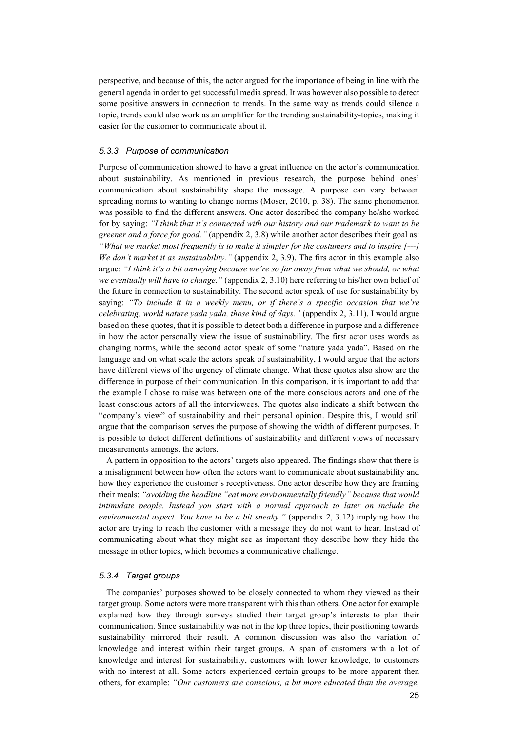perspective, and because of this, the actor argued for the importance of being in line with the general agenda in order to get successful media spread. It was however also possible to detect some positive answers in connection to trends. In the same way as trends could silence a topic, trends could also work as an amplifier for the trending sustainability-topics, making it easier for the customer to communicate about it.

#### *5.3.3 Purpose of communication*

Purpose of communication showed to have a great influence on the actor's communication about sustainability. As mentioned in previous research, the purpose behind ones' communication about sustainability shape the message. A purpose can vary between spreading norms to wanting to change norms (Moser, 2010, p. 38). The same phenomenon was possible to find the different answers. One actor described the company he/she worked for by saying: *"I think that it's connected with our history and our trademark to want to be greener and a force for good."* (appendix 2, 3.8) while another actor describes their goal as: *"What we market most frequently is to make it simpler for the costumers and to inspire [---] We don't market it as sustainability."* (appendix 2, 3.9). The firs actor in this example also argue: *"I think it's a bit annoying because we're so far away from what we should, or what we eventually will have to change."* (appendix 2, 3.10) here referring to his/her own belief of the future in connection to sustainability. The second actor speak of use for sustainability by saying: *"To include it in a weekly menu, or if there's a specific occasion that we're celebrating, world nature yada yada, those kind of days."* (appendix 2, 3.11). I would argue based on these quotes, that it is possible to detect both a difference in purpose and a difference in how the actor personally view the issue of sustainability. The first actor uses words as changing norms, while the second actor speak of some "nature yada yada". Based on the language and on what scale the actors speak of sustainability, I would argue that the actors have different views of the urgency of climate change. What these quotes also show are the difference in purpose of their communication. In this comparison, it is important to add that the example I chose to raise was between one of the more conscious actors and one of the least conscious actors of all the interviewees. The quotes also indicate a shift between the "company's view" of sustainability and their personal opinion. Despite this, I would still argue that the comparison serves the purpose of showing the width of different purposes. It is possible to detect different definitions of sustainability and different views of necessary measurements amongst the actors.

A pattern in opposition to the actors' targets also appeared. The findings show that there is a misalignment between how often the actors want to communicate about sustainability and how they experience the customer's receptiveness. One actor describe how they are framing their meals: *"avoiding the headline "eat more environmentally friendly" because that would intimidate people. Instead you start with a normal approach to later on include the environmental aspect. You have to be a bit sneaky."* (appendix 2, 3.12) implying how the actor are trying to reach the customer with a message they do not want to hear. Instead of communicating about what they might see as important they describe how they hide the message in other topics, which becomes a communicative challenge.

#### *5.3.4 Target groups*

The companies' purposes showed to be closely connected to whom they viewed as their target group. Some actors were more transparent with this than others. One actor for example explained how they through surveys studied their target group's interests to plan their communication. Since sustainability was not in the top three topics, their positioning towards sustainability mirrored their result. A common discussion was also the variation of knowledge and interest within their target groups. A span of customers with a lot of knowledge and interest for sustainability, customers with lower knowledge, to customers with no interest at all. Some actors experienced certain groups to be more apparent then others, for example: *"Our customers are conscious, a bit more educated than the average,*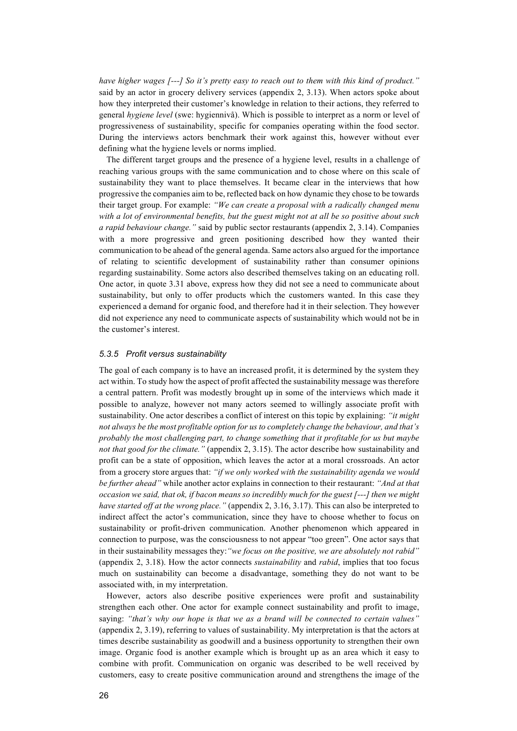*have higher wages [---] So it's pretty easy to reach out to them with this kind of product."* said by an actor in grocery delivery services (appendix 2, 3.13). When actors spoke about how they interpreted their customer's knowledge in relation to their actions, they referred to general *hygiene level* (swe: hygiennivå). Which is possible to interpret as a norm or level of progressiveness of sustainability, specific for companies operating within the food sector. During the interviews actors benchmark their work against this, however without ever defining what the hygiene levels or norms implied.

The different target groups and the presence of a hygiene level, results in a challenge of reaching various groups with the same communication and to chose where on this scale of sustainability they want to place themselves. It became clear in the interviews that how progressive the companies aim to be, reflected back on how dynamic they chose to be towards their target group. For example: *"We can create a proposal with a radically changed menu with a lot of environmental benefits, but the guest might not at all be so positive about such a rapid behaviour change."* said by public sector restaurants (appendix 2, 3.14). Companies with a more progressive and green positioning described how they wanted their communication to be ahead of the general agenda. Same actors also argued for the importance of relating to scientific development of sustainability rather than consumer opinions regarding sustainability. Some actors also described themselves taking on an educating roll. One actor, in quote 3.31 above, express how they did not see a need to communicate about sustainability, but only to offer products which the customers wanted. In this case they experienced a demand for organic food, and therefore had it in their selection. They however did not experience any need to communicate aspects of sustainability which would not be in the customer's interest.

#### *5.3.5 Profit versus sustainability*

The goal of each company is to have an increased profit, it is determined by the system they act within. To study how the aspect of profit affected the sustainability message was therefore a central pattern. Profit was modestly brought up in some of the interviews which made it possible to analyze, however not many actors seemed to willingly associate profit with sustainability. One actor describes a conflict of interest on this topic by explaining: *"it might not always be the most profitable option for us to completely change the behaviour, and that's probably the most challenging part, to change something that it profitable for us but maybe not that good for the climate."* (appendix 2, 3.15). The actor describe how sustainability and profit can be a state of opposition, which leaves the actor at a moral crossroads. An actor from a grocery store argues that: *"if we only worked with the sustainability agenda we would be further ahead"* while another actor explains in connection to their restaurant: *"And at that occasion we said, that ok, if bacon means so incredibly much for the guest [---] then we might have started off at the wrong place."* (appendix 2, 3.16, 3.17). This can also be interpreted to indirect affect the actor's communication, since they have to choose whether to focus on sustainability or profit-driven communication. Another phenomenon which appeared in connection to purpose, was the consciousness to not appear "too green". One actor says that in their sustainability messages they:*"we focus on the positive, we are absolutely not rabid"*  (appendix 2, 3.18). How the actor connects *sustainability* and *rabid*, implies that too focus much on sustainability can become a disadvantage, something they do not want to be associated with, in my interpretation.

However, actors also describe positive experiences were profit and sustainability strengthen each other. One actor for example connect sustainability and profit to image, saying: *"that's why our hope is that we as a brand will be connected to certain values"* (appendix 2, 3.19), referring to values of sustainability. My interpretation is that the actors at times describe sustainability as goodwill and a business opportunity to strengthen their own image. Organic food is another example which is brought up as an area which it easy to combine with profit. Communication on organic was described to be well received by customers, easy to create positive communication around and strengthens the image of the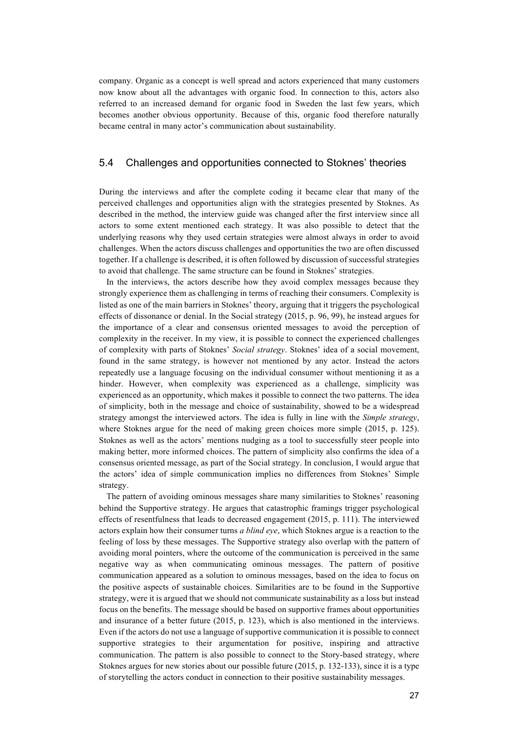company. Organic as a concept is well spread and actors experienced that many customers now know about all the advantages with organic food. In connection to this, actors also referred to an increased demand for organic food in Sweden the last few years, which becomes another obvious opportunity. Because of this, organic food therefore naturally became central in many actor's communication about sustainability.

#### 5.4 Challenges and opportunities connected to Stoknes' theories

During the interviews and after the complete coding it became clear that many of the perceived challenges and opportunities align with the strategies presented by Stoknes. As described in the method, the interview guide was changed after the first interview since all actors to some extent mentioned each strategy. It was also possible to detect that the underlying reasons why they used certain strategies were almost always in order to avoid challenges. When the actors discuss challenges and opportunities the two are often discussed together. If a challenge is described, it is often followed by discussion of successful strategies to avoid that challenge. The same structure can be found in Stoknes' strategies.

In the interviews, the actors describe how they avoid complex messages because they strongly experience them as challenging in terms of reaching their consumers. Complexity is listed as one of the main barriers in Stoknes' theory, arguing that it triggers the psychological effects of dissonance or denial. In the Social strategy (2015, p. 96, 99), he instead argues for the importance of a clear and consensus oriented messages to avoid the perception of complexity in the receiver. In my view, it is possible to connect the experienced challenges of complexity with parts of Stoknes' *Social strategy*. Stoknes' idea of a social movement, found in the same strategy, is however not mentioned by any actor. Instead the actors repeatedly use a language focusing on the individual consumer without mentioning it as a hinder. However, when complexity was experienced as a challenge, simplicity was experienced as an opportunity, which makes it possible to connect the two patterns. The idea of simplicity, both in the message and choice of sustainability, showed to be a widespread strategy amongst the interviewed actors. The idea is fully in line with the *Simple strategy*, where Stoknes argue for the need of making green choices more simple (2015, p. 125). Stoknes as well as the actors' mentions nudging as a tool to successfully steer people into making better, more informed choices. The pattern of simplicity also confirms the idea of a consensus oriented message, as part of the Social strategy. In conclusion, I would argue that the actors' idea of simple communication implies no differences from Stoknes' Simple strategy.

The pattern of avoiding ominous messages share many similarities to Stoknes' reasoning behind the Supportive strategy. He argues that catastrophic framings trigger psychological effects of resentfulness that leads to decreased engagement (2015, p. 111). The interviewed actors explain how their consumer turns *a blind eye*, which Stoknes argue is a reaction to the feeling of loss by these messages. The Supportive strategy also overlap with the pattern of avoiding moral pointers, where the outcome of the communication is perceived in the same negative way as when communicating ominous messages. The pattern of positive communication appeared as a solution to ominous messages, based on the idea to focus on the positive aspects of sustainable choices. Similarities are to be found in the Supportive strategy, were it is argued that we should not communicate sustainability as a loss but instead focus on the benefits. The message should be based on supportive frames about opportunities and insurance of a better future (2015, p. 123), which is also mentioned in the interviews. Even if the actors do not use a language of supportive communication it is possible to connect supportive strategies to their argumentation for positive, inspiring and attractive communication. The pattern is also possible to connect to the Story-based strategy, where Stoknes argues for new stories about our possible future (2015, p. 132-133), since it is a type of storytelling the actors conduct in connection to their positive sustainability messages.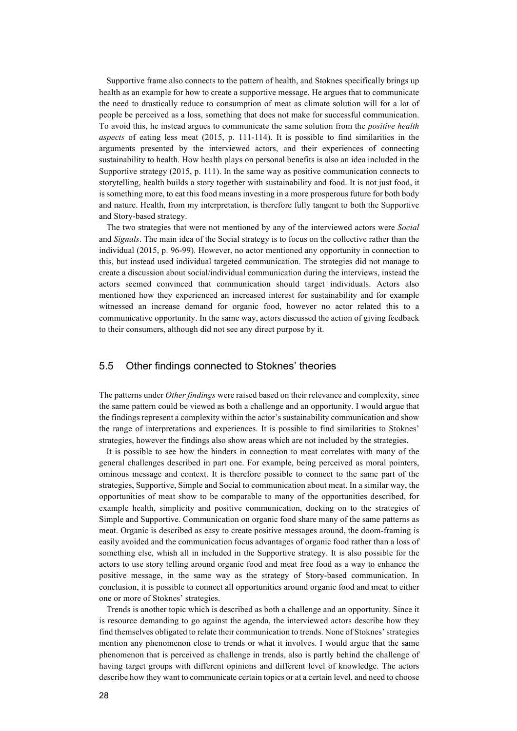Supportive frame also connects to the pattern of health, and Stoknes specifically brings up health as an example for how to create a supportive message. He argues that to communicate the need to drastically reduce to consumption of meat as climate solution will for a lot of people be perceived as a loss, something that does not make for successful communication. To avoid this, he instead argues to communicate the same solution from the *positive health aspects* of eating less meat (2015, p. 111-114). It is possible to find similarities in the arguments presented by the interviewed actors, and their experiences of connecting sustainability to health. How health plays on personal benefits is also an idea included in the Supportive strategy (2015, p. 111). In the same way as positive communication connects to storytelling, health builds a story together with sustainability and food. It is not just food, it is something more, to eat this food means investing in a more prosperous future for both body and nature. Health, from my interpretation, is therefore fully tangent to both the Supportive and Story-based strategy.

The two strategies that were not mentioned by any of the interviewed actors were *Social* and *Signals*. The main idea of the Social strategy is to focus on the collective rather than the individual (2015, p. 96-99). However, no actor mentioned any opportunity in connection to this, but instead used individual targeted communication. The strategies did not manage to create a discussion about social/individual communication during the interviews, instead the actors seemed convinced that communication should target individuals. Actors also mentioned how they experienced an increased interest for sustainability and for example witnessed an increase demand for organic food, however no actor related this to a communicative opportunity. In the same way, actors discussed the action of giving feedback to their consumers, although did not see any direct purpose by it.

### 5.5 Other findings connected to Stoknes' theories

The patterns under *Other findings* were raised based on their relevance and complexity, since the same pattern could be viewed as both a challenge and an opportunity. I would argue that the findings represent a complexity within the actor's sustainability communication and show the range of interpretations and experiences. It is possible to find similarities to Stoknes' strategies, however the findings also show areas which are not included by the strategies.

It is possible to see how the hinders in connection to meat correlates with many of the general challenges described in part one. For example, being perceived as moral pointers, ominous message and context. It is therefore possible to connect to the same part of the strategies, Supportive, Simple and Social to communication about meat. In a similar way, the opportunities of meat show to be comparable to many of the opportunities described, for example health, simplicity and positive communication, docking on to the strategies of Simple and Supportive. Communication on organic food share many of the same patterns as meat. Organic is described as easy to create positive messages around, the doom-framing is easily avoided and the communication focus advantages of organic food rather than a loss of something else, whish all in included in the Supportive strategy. It is also possible for the actors to use story telling around organic food and meat free food as a way to enhance the positive message, in the same way as the strategy of Story-based communication. In conclusion, it is possible to connect all opportunities around organic food and meat to either one or more of Stoknes' strategies.

Trends is another topic which is described as both a challenge and an opportunity. Since it is resource demanding to go against the agenda, the interviewed actors describe how they find themselves obligated to relate their communication to trends. None of Stoknes' strategies mention any phenomenon close to trends or what it involves. I would argue that the same phenomenon that is perceived as challenge in trends, also is partly behind the challenge of having target groups with different opinions and different level of knowledge. The actors describe how they want to communicate certain topics or at a certain level, and need to choose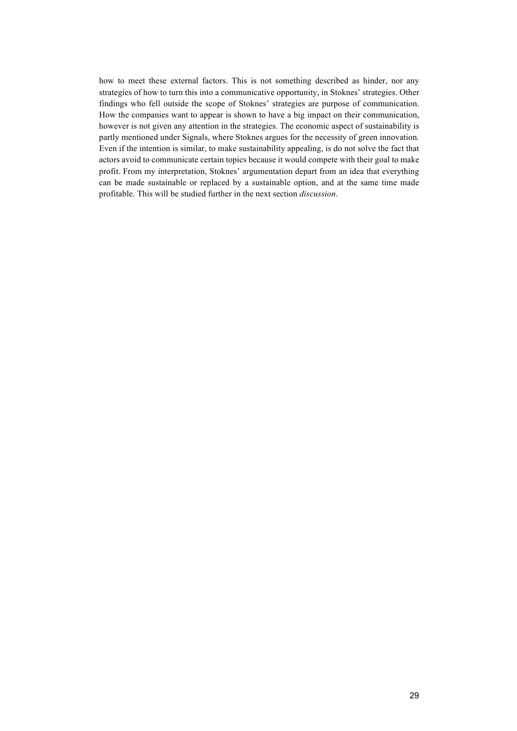how to meet these external factors. This is not something described as hinder, nor any strategies of how to turn this into a communicative opportunity, in Stoknes' strategies. Other findings who fell outside the scope of Stoknes' strategies are purpose of communication. How the companies want to appear is shown to have a big impact on their communication, however is not given any attention in the strategies. The economic aspect of sustainability is partly mentioned under Signals, where Stoknes argues for the necessity of green innovation. Even if the intention is similar, to make sustainability appealing, is do not solve the fact that actors avoid to communicate certain topics because it would compete with their goal to make profit. From my interpretation, Stoknes' argumentation depart from an idea that everything can be made sustainable or replaced by a sustainable option, and at the same time made profitable. This will be studied further in the next section *discussion*.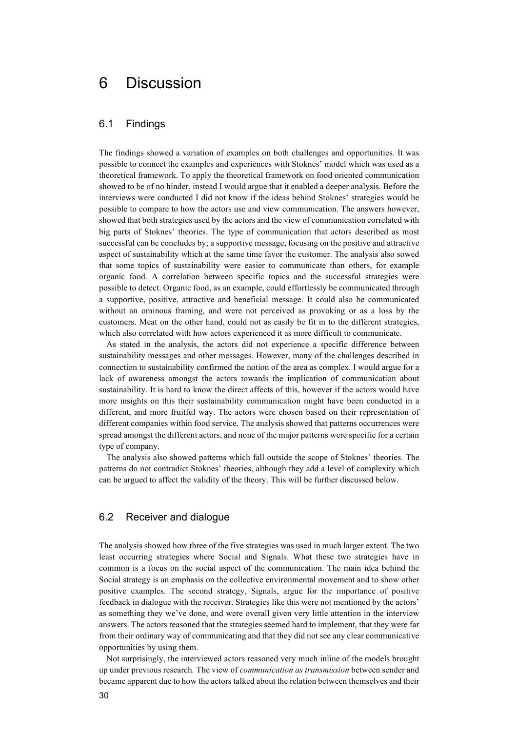## 6 Discussion

#### 6.1 Findings

The findings showed a variation of examples on both challenges and opportunities. It was possible to connect the examples and experiences with Stoknes' model which was used as a theoretical framework. To apply the theoretical framework on food oriented communication showed to be of no hinder, instead I would argue that it enabled a deeper analysis. Before the interviews were conducted I did not know if the ideas behind Stoknes' strategies would be possible to compare to how the actors use and view communication. The answers however, showed that both strategies used by the actors and the view of communication correlated with big parts of Stoknes' theories. The type of communication that actors described as most successful can be concludes by; a supportive message, focusing on the positive and attractive aspect of sustainability which at the same time favor the customer. The analysis also sowed that some topics of sustainability were easier to communicate than others, for example organic food. A correlation between specific topics and the successful strategies were possible to detect. Organic food, as an example, could effortlessly be communicated through a supportive, positive, attractive and beneficial message. It could also be communicated without an ominous framing, and were not perceived as provoking or as a loss by the customers. Meat on the other hand, could not as easily be fit in to the different strategies, which also correlated with how actors experienced it as more difficult to communicate.

As stated in the analysis, the actors did not experience a specific difference between sustainability messages and other messages. However, many of the challenges described in connection to sustainability confirmed the notion of the area as complex. I would argue for a lack of awareness amongst the actors towards the implication of communication about sustainability. It is hard to know the direct affects of this, however if the actors would have more insights on this their sustainability communication might have been conducted in a different, and more fruitful way. The actors were chosen based on their representation of different companies within food service. The analysis showed that patterns occurrences were spread amongst the different actors, and none of the major patterns were specific for a certain type of company.

The analysis also showed patterns which fall outside the scope of Stoknes' theories. The patterns do not contradict Stoknes' theories, although they add a level of complexity which can be argued to affect the validity of the theory. This will be further discussed below.

### 6.2 Receiver and dialogue

The analysis showed how three of the five strategies was used in much larger extent. The two least occurring strategies where Social and Signals. What these two strategies have in common is a focus on the social aspect of the communication. The main idea behind the Social strategy is an emphasis on the collective environmental movement and to show other positive examples. The second strategy, Signals, argue for the importance of positive feedback in dialogue with the receiver. Strategies like this were not mentioned by the actors' as something they we've done, and were overall given very little attention in the interview answers. The actors reasoned that the strategies seemed hard to implement, that they were far from their ordinary way of communicating and that they did not see any clear communicative opportunities by using them.

Not surprisingly, the interviewed actors reasoned very much inline of the models brought up under previous research*.* The view of *communication as transmission* between sender and became apparent due to how the actors talked about the relation between themselves and their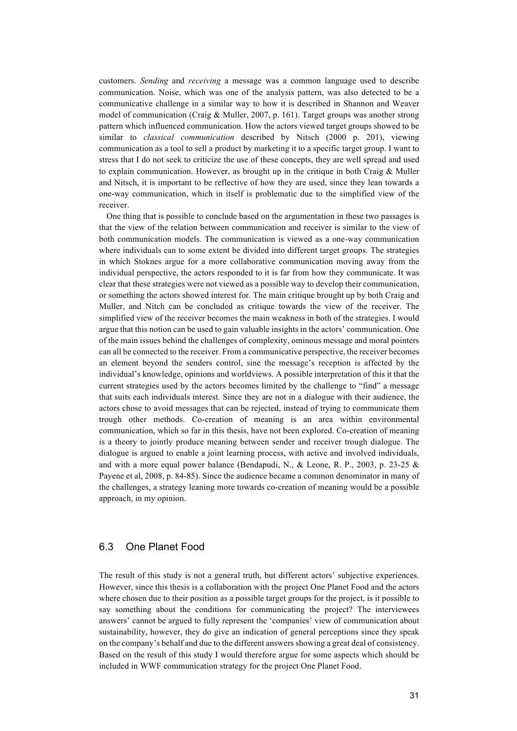customers. *Sending* and *receiving* a message was a common language used to describe communication. Noise, which was one of the analysis pattern, was also detected to be a communicative challenge in a similar way to how it is described in Shannon and Weaver model of communication (Craig & Muller, 2007, p. 161). Target groups was another strong pattern which influenced communication. How the actors viewed target groups showed to be similar to *classical communication* described by Nitsch (2000 p. 201), viewing communication as a tool to sell a product by marketing it to a specific target group. I want to stress that I do not seek to criticize the use of these concepts, they are well spread and used to explain communication. However, as brought up in the critique in both Craig  $\&$  Muller and Nitsch, it is important to be reflective of how they are used, since they lean towards a one-way communication, which in itself is problematic due to the simplified view of the receiver.

One thing that is possible to conclude based on the argumentation in these two passages is that the view of the relation between communication and receiver is similar to the view of both communication models. The communication is viewed as a one-way communication where individuals can to some extent be divided into different target groups. The strategies in which Stoknes argue for a more collaborative communication moving away from the individual perspective, the actors responded to it is far from how they communicate. It was clear that these strategies were not viewed as a possible way to develop their communication, or something the actors showed interest for. The main critique brought up by both Craig and Muller, and Nitch can be concluded as critique towards the view of the receiver. The simplified view of the receiver becomes the main weakness in both of the strategies. I would argue that this notion can be used to gain valuable insights in the actors' communication. One of the main issues behind the challenges of complexity, ominous message and moral pointers can all be connected to the receiver. From a communicative perspective, the receiver becomes an element beyond the senders control, sine the message's reception is affected by the individual's knowledge, opinions and worldviews. A possible interpretation of this it that the current strategies used by the actors becomes limited by the challenge to "find" a message that suits each individuals interest. Since they are not in a dialogue with their audience, the actors chose to avoid messages that can be rejected, instead of trying to communicate them trough other methods. Co-creation of meaning is an area within environmental communication, which so far in this thesis, have not been explored. Co-creation of meaning is a theory to jointly produce meaning between sender and receiver trough dialogue. The dialogue is argued to enable a joint learning process, with active and involved individuals, and with a more equal power balance (Bendapudi, N., & Leone, R. P., 2003, p. 23-25 & Payene et al, 2008, p. 84-85). Since the audience became a common denominator in many of the challenges, a strategy leaning more towards co-creation of meaning would be a possible approach, in my opinion.

## 6.3 One Planet Food

The result of this study is not a general truth, but different actors' subjective experiences. However, since this thesis is a collaboration with the project One Planet Food and the actors where chosen due to their position as a possible target groups for the project, is it possible to say something about the conditions for communicating the project? The interviewees answers' cannot be argued to fully represent the 'companies' view of communication about sustainability, however, they do give an indication of general perceptions since they speak on the company's behalf and due to the different answers showing a great deal of consistency. Based on the result of this study I would therefore argue for some aspects which should be included in WWF communication strategy for the project One Planet Food.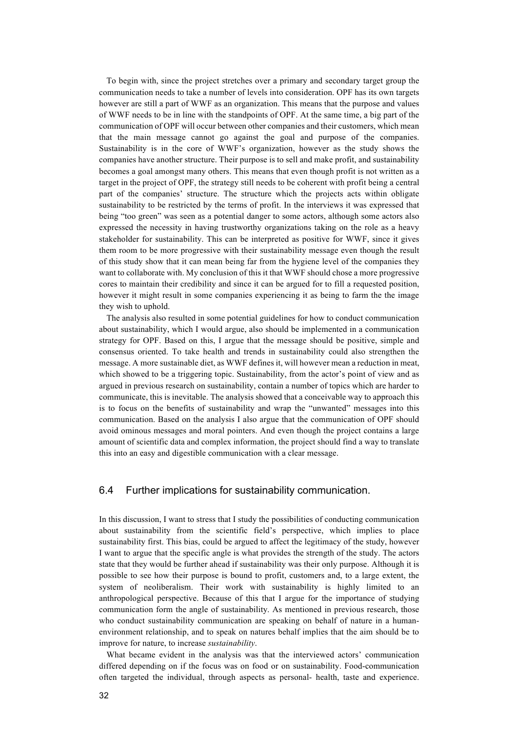To begin with, since the project stretches over a primary and secondary target group the communication needs to take a number of levels into consideration. OPF has its own targets however are still a part of WWF as an organization. This means that the purpose and values of WWF needs to be in line with the standpoints of OPF. At the same time, a big part of the communication of OPF will occur between other companies and their customers, which mean that the main message cannot go against the goal and purpose of the companies. Sustainability is in the core of WWF's organization, however as the study shows the companies have another structure. Their purpose is to sell and make profit, and sustainability becomes a goal amongst many others. This means that even though profit is not written as a target in the project of OPF, the strategy still needs to be coherent with profit being a central part of the companies' structure. The structure which the projects acts within obligate sustainability to be restricted by the terms of profit. In the interviews it was expressed that being "too green" was seen as a potential danger to some actors, although some actors also expressed the necessity in having trustworthy organizations taking on the role as a heavy stakeholder for sustainability. This can be interpreted as positive for WWF, since it gives them room to be more progressive with their sustainability message even though the result of this study show that it can mean being far from the hygiene level of the companies they want to collaborate with. My conclusion of this it that WWF should chose a more progressive cores to maintain their credibility and since it can be argued for to fill a requested position, however it might result in some companies experiencing it as being to farm the the image they wish to uphold.

The analysis also resulted in some potential guidelines for how to conduct communication about sustainability, which I would argue, also should be implemented in a communication strategy for OPF. Based on this, I argue that the message should be positive, simple and consensus oriented. To take health and trends in sustainability could also strengthen the message. A more sustainable diet, as WWF defines it, will however mean a reduction in meat, which showed to be a triggering topic. Sustainability, from the actor's point of view and as argued in previous research on sustainability, contain a number of topics which are harder to communicate, this is inevitable. The analysis showed that a conceivable way to approach this is to focus on the benefits of sustainability and wrap the "unwanted" messages into this communication. Based on the analysis I also argue that the communication of OPF should avoid ominous messages and moral pointers. And even though the project contains a large amount of scientific data and complex information, the project should find a way to translate this into an easy and digestible communication with a clear message.

### 6.4 Further implications for sustainability communication.

In this discussion, I want to stress that I study the possibilities of conducting communication about sustainability from the scientific field's perspective, which implies to place sustainability first. This bias, could be argued to affect the legitimacy of the study, however I want to argue that the specific angle is what provides the strength of the study. The actors state that they would be further ahead if sustainability was their only purpose. Although it is possible to see how their purpose is bound to profit, customers and, to a large extent, the system of neoliberalism. Their work with sustainability is highly limited to an anthropological perspective. Because of this that I argue for the importance of studying communication form the angle of sustainability. As mentioned in previous research, those who conduct sustainability communication are speaking on behalf of nature in a humanenvironment relationship, and to speak on natures behalf implies that the aim should be to improve for nature, to increase *sustainability*.

What became evident in the analysis was that the interviewed actors' communication differed depending on if the focus was on food or on sustainability. Food-communication often targeted the individual, through aspects as personal- health, taste and experience.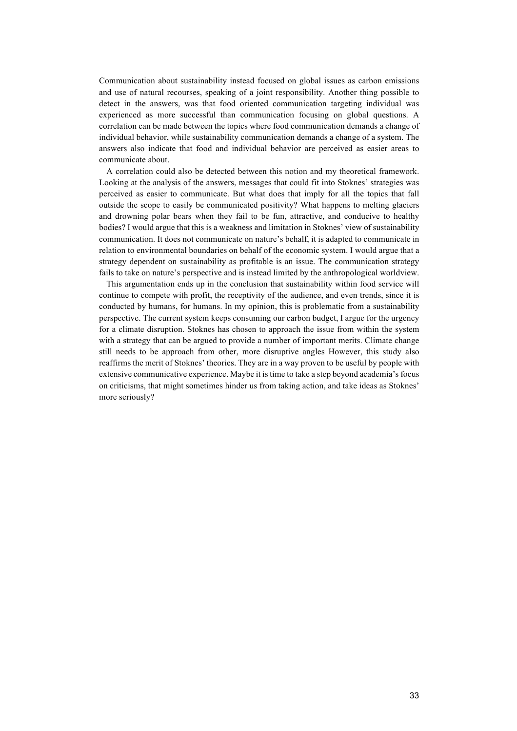Communication about sustainability instead focused on global issues as carbon emissions and use of natural recourses, speaking of a joint responsibility. Another thing possible to detect in the answers, was that food oriented communication targeting individual was experienced as more successful than communication focusing on global questions. A correlation can be made between the topics where food communication demands a change of individual behavior, while sustainability communication demands a change of a system. The answers also indicate that food and individual behavior are perceived as easier areas to communicate about.

A correlation could also be detected between this notion and my theoretical framework. Looking at the analysis of the answers, messages that could fit into Stoknes' strategies was perceived as easier to communicate. But what does that imply for all the topics that fall outside the scope to easily be communicated positivity? What happens to melting glaciers and drowning polar bears when they fail to be fun, attractive, and conducive to healthy bodies? I would argue that this is a weakness and limitation in Stoknes' view of sustainability communication. It does not communicate on nature's behalf, it is adapted to communicate in relation to environmental boundaries on behalf of the economic system. I would argue that a strategy dependent on sustainability as profitable is an issue. The communication strategy fails to take on nature's perspective and is instead limited by the anthropological worldview.

This argumentation ends up in the conclusion that sustainability within food service will continue to compete with profit, the receptivity of the audience, and even trends, since it is conducted by humans, for humans. In my opinion, this is problematic from a sustainability perspective. The current system keeps consuming our carbon budget, I argue for the urgency for a climate disruption. Stoknes has chosen to approach the issue from within the system with a strategy that can be argued to provide a number of important merits. Climate change still needs to be approach from other, more disruptive angles However, this study also reaffirms the merit of Stoknes' theories. They are in a way proven to be useful by people with extensive communicative experience. Maybe it is time to take a step beyond academia's focus on criticisms, that might sometimes hinder us from taking action, and take ideas as Stoknes' more seriously?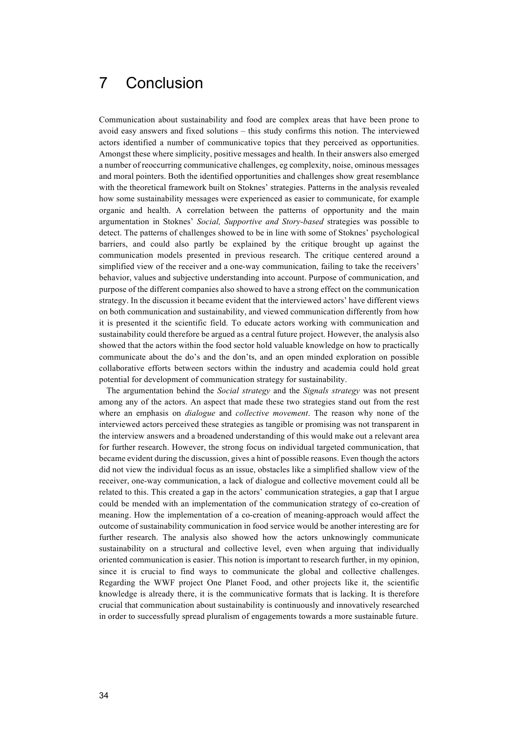## 7 Conclusion

Communication about sustainability and food are complex areas that have been prone to avoid easy answers and fixed solutions – this study confirms this notion. The interviewed actors identified a number of communicative topics that they perceived as opportunities. Amongst these where simplicity, positive messages and health. In their answers also emerged a number of reoccurring communicative challenges, eg complexity, noise, ominous messages and moral pointers. Both the identified opportunities and challenges show great resemblance with the theoretical framework built on Stoknes' strategies. Patterns in the analysis revealed how some sustainability messages were experienced as easier to communicate, for example organic and health. A correlation between the patterns of opportunity and the main argumentation in Stoknes' *Social, Supportive and Story-based* strategies was possible to detect. The patterns of challenges showed to be in line with some of Stoknes' psychological barriers, and could also partly be explained by the critique brought up against the communication models presented in previous research. The critique centered around a simplified view of the receiver and a one-way communication, failing to take the receivers' behavior, values and subjective understanding into account. Purpose of communication, and purpose of the different companies also showed to have a strong effect on the communication strategy. In the discussion it became evident that the interviewed actors' have different views on both communication and sustainability, and viewed communication differently from how it is presented it the scientific field. To educate actors working with communication and sustainability could therefore be argued as a central future project. However, the analysis also showed that the actors within the food sector hold valuable knowledge on how to practically communicate about the do's and the don'ts, and an open minded exploration on possible collaborative efforts between sectors within the industry and academia could hold great potential for development of communication strategy for sustainability.

The argumentation behind the *Social strategy* and the *Signals strategy* was not present among any of the actors. An aspect that made these two strategies stand out from the rest where an emphasis on *dialogue* and *collective movement*. The reason why none of the interviewed actors perceived these strategies as tangible or promising was not transparent in the interview answers and a broadened understanding of this would make out a relevant area for further research. However, the strong focus on individual targeted communication, that became evident during the discussion, gives a hint of possible reasons. Even though the actors did not view the individual focus as an issue, obstacles like a simplified shallow view of the receiver, one-way communication, a lack of dialogue and collective movement could all be related to this. This created a gap in the actors' communication strategies, a gap that I argue could be mended with an implementation of the communication strategy of co-creation of meaning. How the implementation of a co-creation of meaning-approach would affect the outcome of sustainability communication in food service would be another interesting are for further research. The analysis also showed how the actors unknowingly communicate sustainability on a structural and collective level, even when arguing that individually oriented communication is easier. This notion is important to research further, in my opinion, since it is crucial to find ways to communicate the global and collective challenges. Regarding the WWF project One Planet Food, and other projects like it, the scientific knowledge is already there, it is the communicative formats that is lacking. It is therefore crucial that communication about sustainability is continuously and innovatively researched in order to successfully spread pluralism of engagements towards a more sustainable future.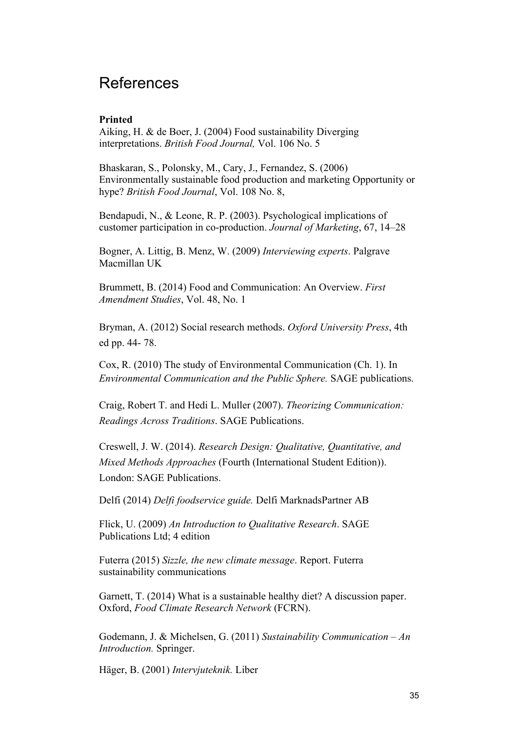## References

## **Printed**

Aiking, H. & de Boer, J. (2004) Food sustainability Diverging interpretations. *British Food Journal,* Vol. 106 No. 5

Bhaskaran, S., Polonsky, M., Cary, J., Fernandez, S. (2006) Environmentally sustainable food production and marketing Opportunity or hype? *British Food Journal*, Vol. 108 No. 8,

Bendapudi, N., & Leone, R. P. (2003). Psychological implications of customer participation in co-production. *Journal of Marketing*, 67, 14–28

Bogner, A. Littig, B. Menz, W. (2009) *Interviewing experts*. Palgrave Macmillan UK

Brummett, B. (2014) Food and Communication: An Overview. *First Amendment Studies*, Vol. 48, No. 1

Bryman, A. (2012) Social research methods. *Oxford University Press*, 4th ed pp. 44- 78.

Cox, R. (2010) The study of Environmental Communication (Ch. 1). In *Environmental Communication and the Public Sphere.* SAGE publications.

Craig, Robert T. and Hedi L. Muller (2007). *Theorizing Communication: Readings Across Traditions*. SAGE Publications.

Creswell, J. W. (2014). *Research Design: Qualitative, Quantitative, and Mixed Methods Approaches* (Fourth (International Student Edition)). London: SAGE Publications.

Delfi (2014) *Delfi foodservice guide.* Delfi MarknadsPartner AB

Flick, U. (2009) *An Introduction to Qualitative Research*. SAGE Publications Ltd; 4 edition

Futerra (2015) *Sizzle, the new climate message*. Report. Futerra sustainability communications

Garnett, T. (2014) What is a sustainable healthy diet? A discussion paper. Oxford, *Food Climate Research Network* (FCRN).

Godemann, J. & Michelsen, G. (2011) *Sustainability Communication – An Introduction.* Springer.

Häger, B. (2001) *Intervjuteknik.* Liber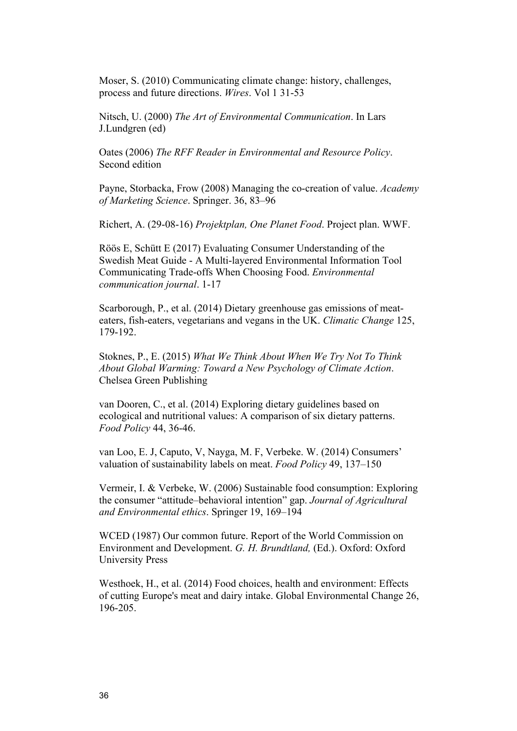Moser, S. (2010) Communicating climate change: history, challenges, process and future directions. *Wires*. Vol 1 31-53

Nitsch, U. (2000) *The Art of Environmental Communication*. In Lars J.Lundgren (ed)

Oates (2006) *The RFF Reader in Environmental and Resource Policy*. Second edition

Payne, Storbacka, Frow (2008) Managing the co-creation of value. *Academy of Marketing Science*. Springer. 36, 83–96

Richert, A. (29-08-16) *Projektplan, One Planet Food*. Project plan. WWF.

Röös E, Schütt E (2017) Evaluating Consumer Understanding of the Swedish Meat Guide - A Multi-layered Environmental Information Tool Communicating Trade-offs When Choosing Food. *Environmental communication journal*. 1-17

Scarborough, P., et al. (2014) Dietary greenhouse gas emissions of meateaters, fish-eaters, vegetarians and vegans in the UK. *Climatic Change* 125, 179-192.

Stoknes, P., E. (2015) *What We Think About When We Try Not To Think About Global Warming: Toward a New Psychology of Climate Action*. Chelsea Green Publishing

van Dooren, C., et al. (2014) Exploring dietary guidelines based on ecological and nutritional values: A comparison of six dietary patterns. *Food Policy* 44, 36-46.

van Loo, E. J, Caputo, V, Nayga, M. F, Verbeke. W. (2014) Consumers' valuation of sustainability labels on meat. *Food Policy* 49, 137–150

Vermeir, I. & Verbeke, W. (2006) Sustainable food consumption: Exploring the consumer "attitude–behavioral intention" gap. *Journal of Agricultural and Environmental ethics*. Springer 19, 169–194

WCED (1987) Our common future. Report of the World Commission on Environment and Development. *G. H. Brundtland,* (Ed.). Oxford: Oxford University Press

Westhoek, H., et al. (2014) Food choices, health and environment: Effects of cutting Europe's meat and dairy intake. Global Environmental Change 26, 196-205.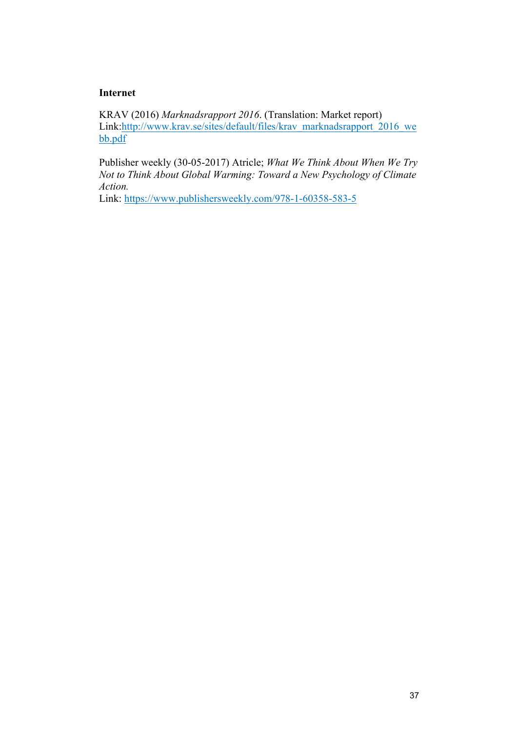## **Internet**

KRAV (2016) *Marknadsrapport 2016*. (Translation: Market report) Link:http://www.krav.se/sites/default/files/krav\_marknadsrapport\_2016\_we bb.pdf

Publisher weekly (30-05-2017) Atricle; *What We Think About When We Try Not to Think About Global Warming: Toward a New Psychology of Climate Action.* 

Link: https://www.publishersweekly.com/978-1-60358-583-5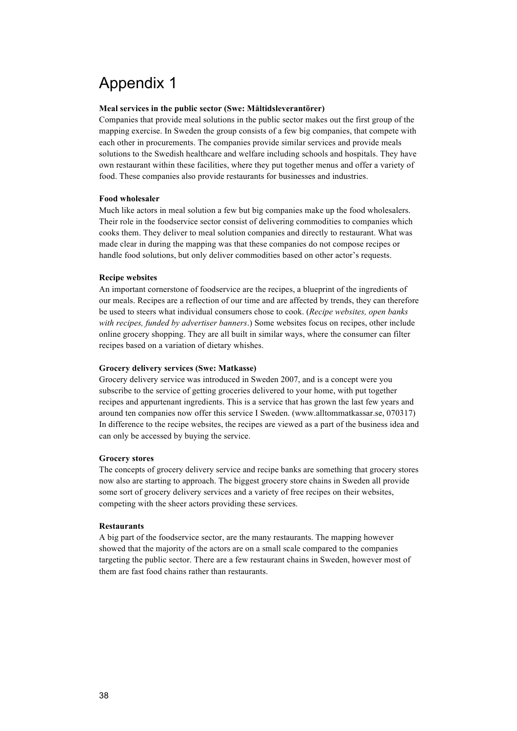## Appendix 1

#### **Meal services in the public sector (Swe: Måltidsleverantörer)**

Companies that provide meal solutions in the public sector makes out the first group of the mapping exercise. In Sweden the group consists of a few big companies, that compete with each other in procurements. The companies provide similar services and provide meals solutions to the Swedish healthcare and welfare including schools and hospitals. They have own restaurant within these facilities, where they put together menus and offer a variety of food. These companies also provide restaurants for businesses and industries.

#### **Food wholesaler**

Much like actors in meal solution a few but big companies make up the food wholesalers. Their role in the foodservice sector consist of delivering commodities to companies which cooks them. They deliver to meal solution companies and directly to restaurant. What was made clear in during the mapping was that these companies do not compose recipes or handle food solutions, but only deliver commodities based on other actor's requests.

#### **Recipe websites**

An important cornerstone of foodservice are the recipes, a blueprint of the ingredients of our meals. Recipes are a reflection of our time and are affected by trends, they can therefore be used to steers what individual consumers chose to cook. (*Recipe websites, open banks with recipes, funded by advertiser banners*.) Some websites focus on recipes, other include online grocery shopping. They are all built in similar ways, where the consumer can filter recipes based on a variation of dietary whishes.

#### **Grocery delivery services (Swe: Matkasse)**

Grocery delivery service was introduced in Sweden 2007, and is a concept were you subscribe to the service of getting groceries delivered to your home, with put together recipes and appurtenant ingredients. This is a service that has grown the last few years and around ten companies now offer this service I Sweden. (www.alltommatkassar.se, 070317) In difference to the recipe websites, the recipes are viewed as a part of the business idea and can only be accessed by buying the service.

#### **Grocery stores**

The concepts of grocery delivery service and recipe banks are something that grocery stores now also are starting to approach. The biggest grocery store chains in Sweden all provide some sort of grocery delivery services and a variety of free recipes on their websites, competing with the sheer actors providing these services.

#### **Restaurants**

A big part of the foodservice sector, are the many restaurants. The mapping however showed that the majority of the actors are on a small scale compared to the companies targeting the public sector. There are a few restaurant chains in Sweden, however most of them are fast food chains rather than restaurants.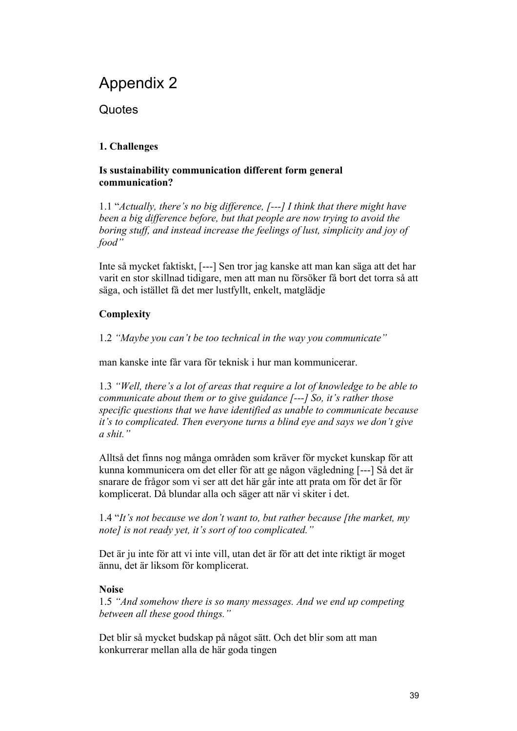## Appendix 2

**Quotes** 

## **1. Challenges**

## **Is sustainability communication different form general communication?**

1.1 "*Actually, there's no big difference, [---] I think that there might have been a big difference before, but that people are now trying to avoid the boring stuff, and instead increase the feelings of lust, simplicity and joy of food"*

Inte så mycket faktiskt, [---] Sen tror jag kanske att man kan säga att det har varit en stor skillnad tidigare, men att man nu försöker få bort det torra så att säga, och istället få det mer lustfyllt, enkelt, matglädje

## **Complexity**

1.2 *"Maybe you can't be too technical in the way you communicate"*

man kanske inte får vara för teknisk i hur man kommunicerar.

1.3 *"Well, there's a lot of areas that require a lot of knowledge to be able to communicate about them or to give guidance [---] So, it's rather those specific questions that we have identified as unable to communicate because it's to complicated. Then everyone turns a blind eye and says we don't give a shit."*

Alltså det finns nog många områden som kräver för mycket kunskap för att kunna kommunicera om det eller för att ge någon vägledning [---] Så det är snarare de frågor som vi ser att det här går inte att prata om för det är för komplicerat. Då blundar alla och säger att när vi skiter i det.

1.4 "*It's not because we don't want to, but rather because [the market, my note] is not ready yet, it's sort of too complicated."*

Det är ju inte för att vi inte vill, utan det är för att det inte riktigt är moget ännu, det är liksom för komplicerat.

## **Noise**

1.5 *"And somehow there is so many messages. And we end up competing between all these good things."*

Det blir så mycket budskap på något sätt. Och det blir som att man konkurrerar mellan alla de här goda tingen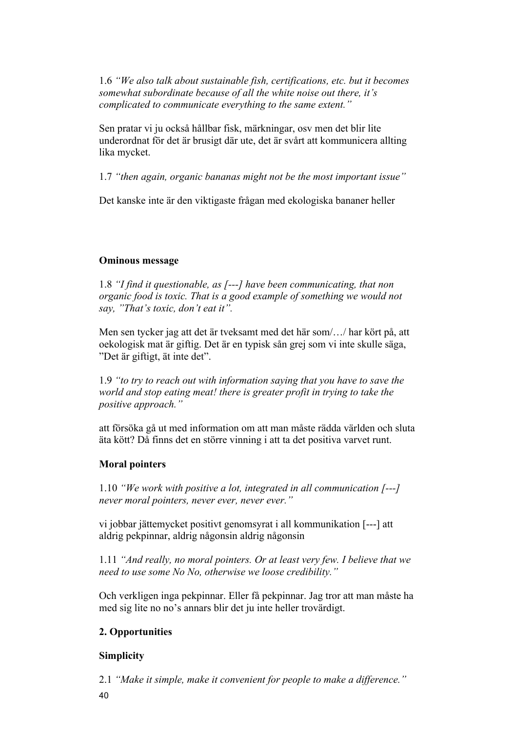1.6 *"We also talk about sustainable fish, certifications, etc. but it becomes somewhat subordinate because of all the white noise out there, it's complicated to communicate everything to the same extent."*

Sen pratar vi ju också hållbar fisk, märkningar, osv men det blir lite underordnat för det är brusigt där ute, det är svårt att kommunicera allting lika mycket.

1.7 *"then again, organic bananas might not be the most important issue"*

Det kanske inte är den viktigaste frågan med ekologiska bananer heller

## **Ominous message**

1.8 *"I find it questionable, as [---] have been communicating, that non organic food is toxic. That is a good example of something we would not say, "That's toxic, don't eat it".*

Men sen tycker jag att det är tveksamt med det här som/…/ har kört på, att oekologisk mat är giftig. Det är en typisk sån grej som vi inte skulle säga, "Det är giftigt, ät inte det".

1.9 *"to try to reach out with information saying that you have to save the world and stop eating meat! there is greater profit in trying to take the positive approach."*

att försöka gå ut med information om att man måste rädda världen och sluta äta kött? Då finns det en större vinning i att ta det positiva varvet runt.

## **Moral pointers**

1.10 *"We work with positive a lot, integrated in all communication [---] never moral pointers, never ever, never ever."*

vi jobbar jättemycket positivt genomsyrat i all kommunikation [---] att aldrig pekpinnar, aldrig någonsin aldrig någonsin

1.11 *"And really, no moral pointers. Or at least very few. I believe that we need to use some No No, otherwise we loose credibility."*

Och verkligen inga pekpinnar. Eller få pekpinnar. Jag tror att man måste ha med sig lite no no's annars blir det ju inte heller trovärdigt.

## **2. Opportunities**

## **Simplicity**

2.1 *"Make it simple, make it convenient for people to make a difference."*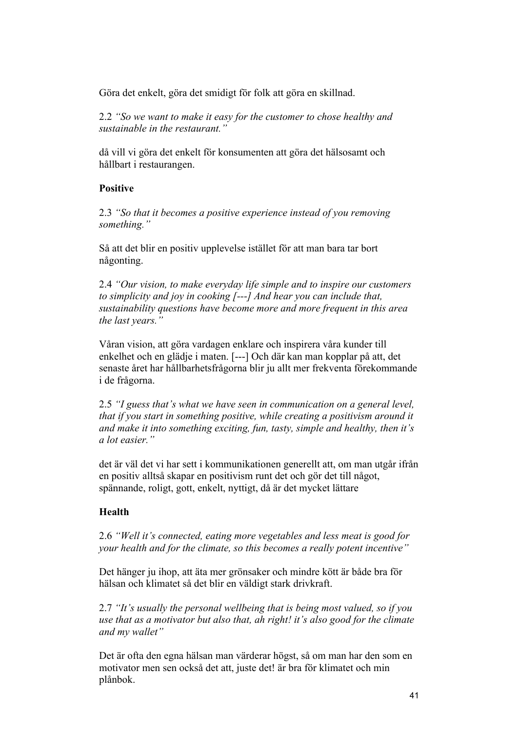Göra det enkelt, göra det smidigt för folk att göra en skillnad.

2.2 *"So we want to make it easy for the customer to chose healthy and sustainable in the restaurant."*

då vill vi göra det enkelt för konsumenten att göra det hälsosamt och hållbart i restaurangen.

## **Positive**

2.3 *"So that it becomes a positive experience instead of you removing something."*

Så att det blir en positiv upplevelse istället för att man bara tar bort någonting.

2.4 *"Our vision, to make everyday life simple and to inspire our customers to simplicity and joy in cooking [---] And hear you can include that, sustainability questions have become more and more frequent in this area the last years."*

Våran vision, att göra vardagen enklare och inspirera våra kunder till enkelhet och en glädje i maten. [---] Och där kan man kopplar på att, det senaste året har hållbarhetsfrågorna blir ju allt mer frekventa förekommande i de frågorna.

2.5 *"I guess that's what we have seen in communication on a general level, that if you start in something positive, while creating a positivism around it and make it into something exciting, fun, tasty, simple and healthy, then it's a lot easier."*

det är väl det vi har sett i kommunikationen generellt att, om man utgår ifrån en positiv alltså skapar en positivism runt det och gör det till något, spännande, roligt, gott, enkelt, nyttigt, då är det mycket lättare

## **Health**

2.6 *"Well it's connected, eating more vegetables and less meat is good for your health and for the climate, so this becomes a really potent incentive"*

Det hänger ju ihop, att äta mer grönsaker och mindre kött är både bra för hälsan och klimatet så det blir en väldigt stark drivkraft.

2.7 *"It's usually the personal wellbeing that is being most valued, so if you use that as a motivator but also that, ah right! it's also good for the climate and my wallet"*

Det är ofta den egna hälsan man värderar högst, så om man har den som en motivator men sen också det att, juste det! är bra för klimatet och min plånbok.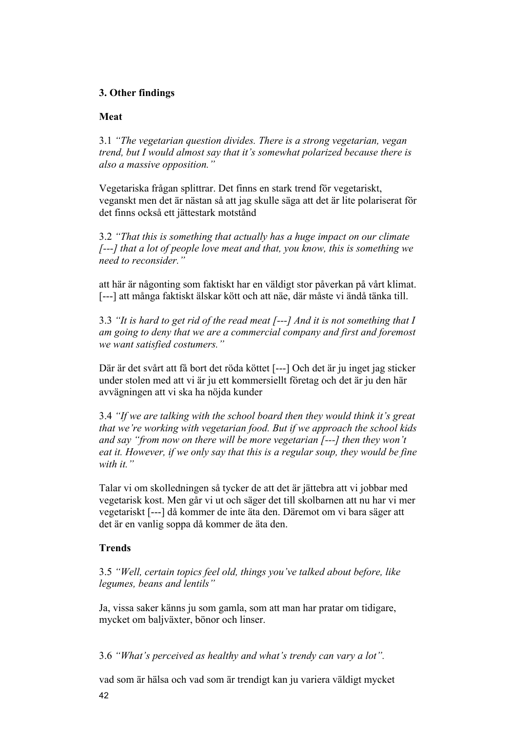## **3. Other findings**

## **Meat**

3.1 *"The vegetarian question divides. There is a strong vegetarian, vegan trend, but I would almost say that it's somewhat polarized because there is also a massive opposition."*

Vegetariska frågan splittrar. Det finns en stark trend för vegetariskt, veganskt men det är nästan så att jag skulle säga att det är lite polariserat för det finns också ett jättestark motstånd

3.2 *"That this is something that actually has a huge impact on our climate [---] that a lot of people love meat and that, you know, this is something we need to reconsider."*

att här är någonting som faktiskt har en väldigt stor påverkan på vårt klimat. [---] att många faktiskt älskar kött och att näe, där måste vi ändå tänka till.

3.3 *"It is hard to get rid of the read meat [---] And it is not something that I am going to deny that we are a commercial company and first and foremost we want satisfied costumers."*

Där är det svårt att få bort det röda köttet [---] Och det är ju inget jag sticker under stolen med att vi är ju ett kommersiellt företag och det är ju den här avvägningen att vi ska ha nöjda kunder

3.4 *"If we are talking with the school board then they would think it's great that we're working with vegetarian food. But if we approach the school kids and say "from now on there will be more vegetarian [---] then they won't eat it. However, if we only say that this is a regular soup, they would be fine with it."*

Talar vi om skolledningen så tycker de att det är jättebra att vi jobbar med vegetarisk kost. Men går vi ut och säger det till skolbarnen att nu har vi mer vegetariskt [---] då kommer de inte äta den. Däremot om vi bara säger att det är en vanlig soppa då kommer de äta den.

## **Trends**

3.5 *"Well, certain topics feel old, things you've talked about before, like legumes, beans and lentils"*

Ja, vissa saker känns ju som gamla, som att man har pratar om tidigare, mycket om baljväxter, bönor och linser.

3.6 *"What's perceived as healthy and what's trendy can vary a lot".* 

vad som är hälsa och vad som är trendigt kan ju variera väldigt mycket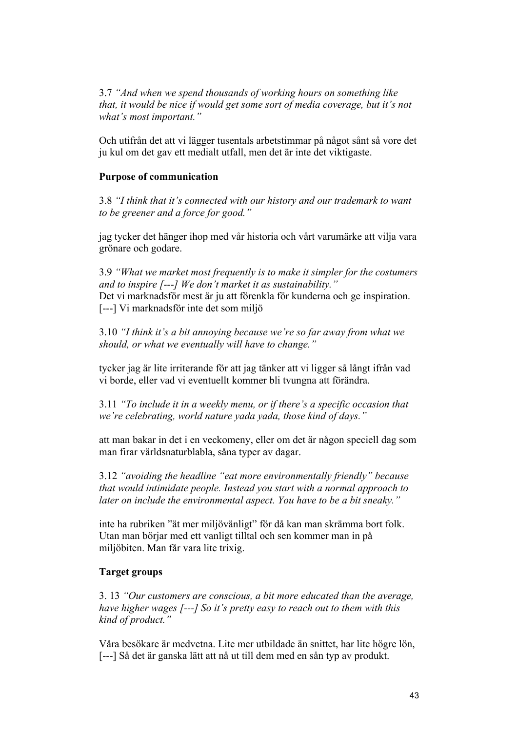3.7 *"And when we spend thousands of working hours on something like that, it would be nice if would get some sort of media coverage, but it's not what's most important."*

Och utifrån det att vi lägger tusentals arbetstimmar på något sånt så vore det ju kul om det gav ett medialt utfall, men det är inte det viktigaste.

## **Purpose of communication**

3.8 *"I think that it's connected with our history and our trademark to want to be greener and a force for good."*

jag tycker det hänger ihop med vår historia och vårt varumärke att vilja vara grönare och godare.

3.9 *"What we market most frequently is to make it simpler for the costumers and to inspire [---] We don't market it as sustainability."* Det vi marknadsför mest är ju att förenkla för kunderna och ge inspiration. [---] Vi marknadsför inte det som miljö

3.10 *"I think it's a bit annoying because we're so far away from what we should, or what we eventually will have to change."*

tycker jag är lite irriterande för att jag tänker att vi ligger så långt ifrån vad vi borde, eller vad vi eventuellt kommer bli tvungna att förändra.

3.11 *"To include it in a weekly menu, or if there's a specific occasion that we're celebrating, world nature yada yada, those kind of days."*

att man bakar in det i en veckomeny, eller om det är någon speciell dag som man firar världsnaturblabla, såna typer av dagar.

3.12 *"avoiding the headline "eat more environmentally friendly" because that would intimidate people. Instead you start with a normal approach to later on include the environmental aspect. You have to be a bit sneaky."*

inte ha rubriken "ät mer miljövänligt" för då kan man skrämma bort folk. Utan man börjar med ett vanligt tilltal och sen kommer man in på miljöbiten. Man får vara lite trixig.

## **Target groups**

3. 13 *"Our customers are conscious, a bit more educated than the average, have higher wages [---] So it's pretty easy to reach out to them with this kind of product."*

Våra besökare är medvetna. Lite mer utbildade än snittet, har lite högre lön, [---] Så det är ganska lätt att nå ut till dem med en sån typ av produkt.